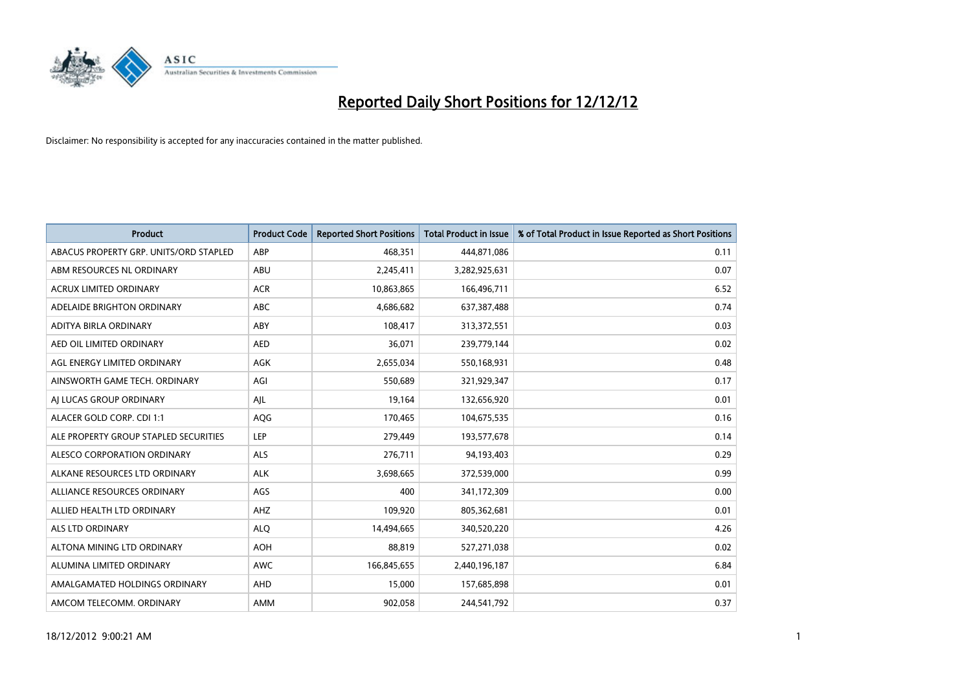

| <b>Product</b>                         | <b>Product Code</b> | <b>Reported Short Positions</b> | Total Product in Issue | % of Total Product in Issue Reported as Short Positions |
|----------------------------------------|---------------------|---------------------------------|------------------------|---------------------------------------------------------|
| ABACUS PROPERTY GRP. UNITS/ORD STAPLED | ABP                 | 468.351                         | 444,871,086            | 0.11                                                    |
| ABM RESOURCES NL ORDINARY              | <b>ABU</b>          | 2,245,411                       | 3,282,925,631          | 0.07                                                    |
| <b>ACRUX LIMITED ORDINARY</b>          | <b>ACR</b>          | 10,863,865                      | 166,496,711            | 6.52                                                    |
| ADELAIDE BRIGHTON ORDINARY             | <b>ABC</b>          | 4,686,682                       | 637,387,488            | 0.74                                                    |
| ADITYA BIRLA ORDINARY                  | ABY                 | 108,417                         | 313,372,551            | 0.03                                                    |
| AED OIL LIMITED ORDINARY               | <b>AED</b>          | 36,071                          | 239,779,144            | 0.02                                                    |
| AGL ENERGY LIMITED ORDINARY            | AGK                 | 2,655,034                       | 550,168,931            | 0.48                                                    |
| AINSWORTH GAME TECH. ORDINARY          | AGI                 | 550.689                         | 321,929,347            | 0.17                                                    |
| AI LUCAS GROUP ORDINARY                | AJL                 | 19,164                          | 132,656,920            | 0.01                                                    |
| ALACER GOLD CORP. CDI 1:1              | AQG                 | 170,465                         | 104,675,535            | 0.16                                                    |
| ALE PROPERTY GROUP STAPLED SECURITIES  | LEP                 | 279,449                         | 193,577,678            | 0.14                                                    |
| <b>ALESCO CORPORATION ORDINARY</b>     | <b>ALS</b>          | 276,711                         | 94,193,403             | 0.29                                                    |
| ALKANE RESOURCES LTD ORDINARY          | <b>ALK</b>          | 3,698,665                       | 372,539,000            | 0.99                                                    |
| ALLIANCE RESOURCES ORDINARY            | AGS                 | 400                             | 341,172,309            | 0.00                                                    |
| ALLIED HEALTH LTD ORDINARY             | AHZ                 | 109.920                         | 805,362,681            | 0.01                                                    |
| <b>ALS LTD ORDINARY</b>                | <b>ALQ</b>          | 14,494,665                      | 340,520,220            | 4.26                                                    |
| ALTONA MINING LTD ORDINARY             | AOH                 | 88,819                          | 527,271,038            | 0.02                                                    |
| ALUMINA LIMITED ORDINARY               | <b>AWC</b>          | 166,845,655                     | 2,440,196,187          | 6.84                                                    |
| AMALGAMATED HOLDINGS ORDINARY          | AHD                 | 15,000                          | 157,685,898            | 0.01                                                    |
| AMCOM TELECOMM. ORDINARY               | <b>AMM</b>          | 902,058                         | 244,541,792            | 0.37                                                    |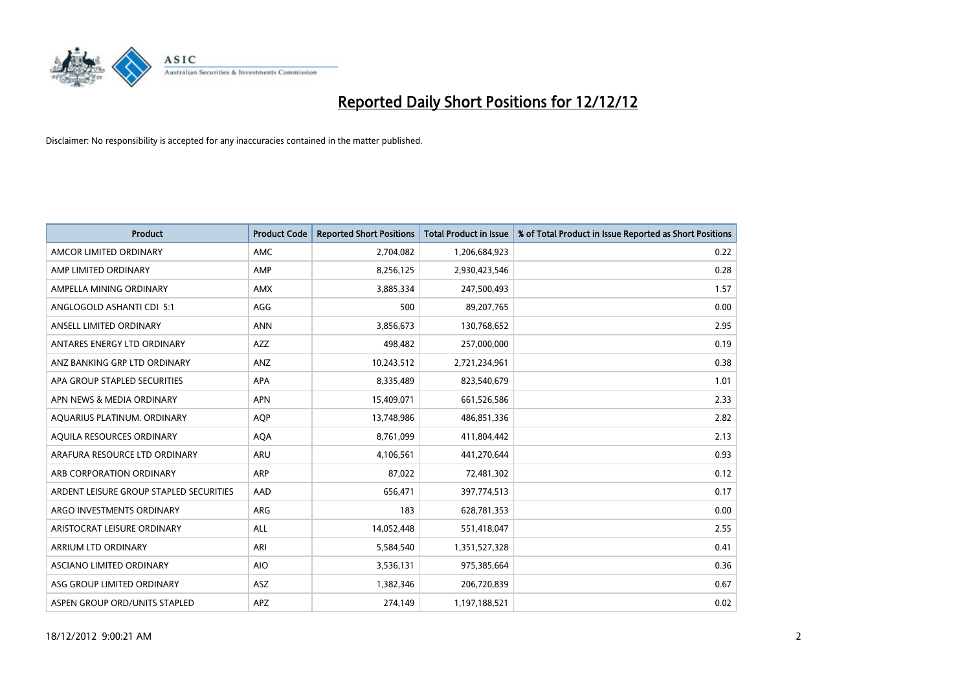

| <b>Product</b>                          | <b>Product Code</b> | <b>Reported Short Positions</b> | <b>Total Product in Issue</b> | % of Total Product in Issue Reported as Short Positions |
|-----------------------------------------|---------------------|---------------------------------|-------------------------------|---------------------------------------------------------|
| AMCOR LIMITED ORDINARY                  | <b>AMC</b>          | 2,704,082                       | 1,206,684,923                 | 0.22                                                    |
| AMP LIMITED ORDINARY                    | AMP                 | 8,256,125                       | 2,930,423,546                 | 0.28                                                    |
| AMPELLA MINING ORDINARY                 | <b>AMX</b>          | 3,885,334                       | 247,500,493                   | 1.57                                                    |
| ANGLOGOLD ASHANTI CDI 5:1               | AGG                 | 500                             | 89,207,765                    | 0.00                                                    |
| ANSELL LIMITED ORDINARY                 | <b>ANN</b>          | 3,856,673                       | 130,768,652                   | 2.95                                                    |
| ANTARES ENERGY LTD ORDINARY             | <b>AZZ</b>          | 498,482                         | 257,000,000                   | 0.19                                                    |
| ANZ BANKING GRP LTD ORDINARY            | ANZ                 | 10,243,512                      | 2,721,234,961                 | 0.38                                                    |
| APA GROUP STAPLED SECURITIES            | <b>APA</b>          | 8,335,489                       | 823,540,679                   | 1.01                                                    |
| APN NEWS & MEDIA ORDINARY               | <b>APN</b>          | 15,409,071                      | 661,526,586                   | 2.33                                                    |
| AOUARIUS PLATINUM. ORDINARY             | <b>AOP</b>          | 13,748,986                      | 486,851,336                   | 2.82                                                    |
| AQUILA RESOURCES ORDINARY               | <b>AQA</b>          | 8,761,099                       | 411,804,442                   | 2.13                                                    |
| ARAFURA RESOURCE LTD ORDINARY           | ARU                 | 4,106,561                       | 441,270,644                   | 0.93                                                    |
| ARB CORPORATION ORDINARY                | ARP                 | 87,022                          | 72,481,302                    | 0.12                                                    |
| ARDENT LEISURE GROUP STAPLED SECURITIES | AAD                 | 656,471                         | 397,774,513                   | 0.17                                                    |
| ARGO INVESTMENTS ORDINARY               | <b>ARG</b>          | 183                             | 628,781,353                   | 0.00                                                    |
| ARISTOCRAT LEISURE ORDINARY             | <b>ALL</b>          | 14,052,448                      | 551,418,047                   | 2.55                                                    |
| ARRIUM LTD ORDINARY                     | ARI                 | 5,584,540                       | 1,351,527,328                 | 0.41                                                    |
| ASCIANO LIMITED ORDINARY                | <b>AIO</b>          | 3,536,131                       | 975,385,664                   | 0.36                                                    |
| ASG GROUP LIMITED ORDINARY              | <b>ASZ</b>          | 1,382,346                       | 206,720,839                   | 0.67                                                    |
| ASPEN GROUP ORD/UNITS STAPLED           | <b>APZ</b>          | 274,149                         | 1,197,188,521                 | 0.02                                                    |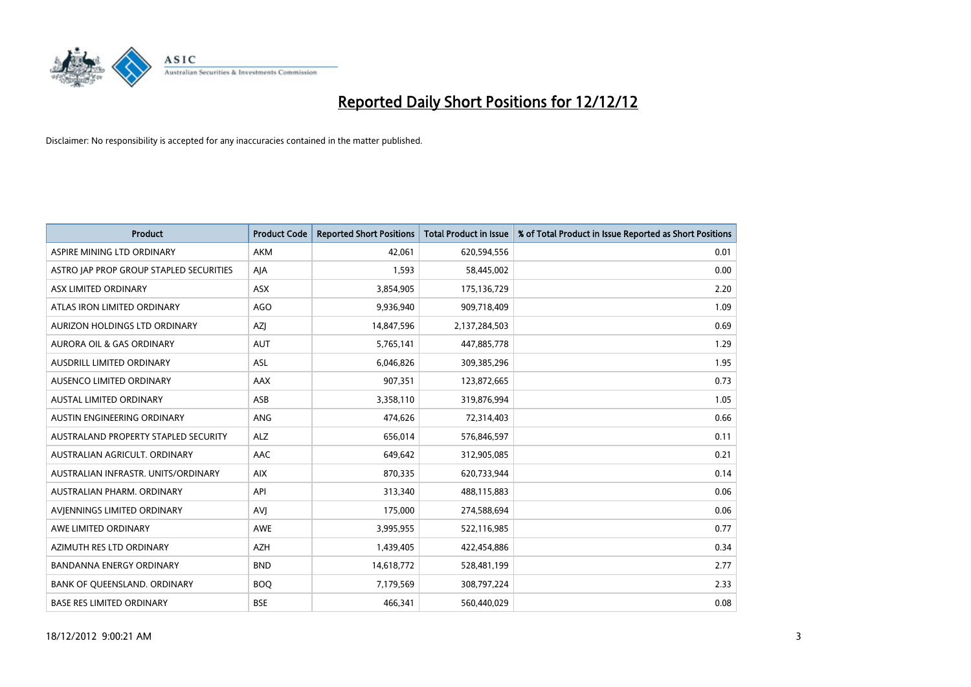

| <b>Product</b>                          | <b>Product Code</b> | <b>Reported Short Positions</b> | Total Product in Issue | % of Total Product in Issue Reported as Short Positions |
|-----------------------------------------|---------------------|---------------------------------|------------------------|---------------------------------------------------------|
| ASPIRE MINING LTD ORDINARY              | AKM                 | 42.061                          | 620,594,556            | 0.01                                                    |
| ASTRO JAP PROP GROUP STAPLED SECURITIES | AIA                 | 1,593                           | 58,445,002             | 0.00                                                    |
| ASX LIMITED ORDINARY                    | <b>ASX</b>          | 3,854,905                       | 175,136,729            | 2.20                                                    |
| ATLAS IRON LIMITED ORDINARY             | <b>AGO</b>          | 9,936,940                       | 909,718,409            | 1.09                                                    |
| AURIZON HOLDINGS LTD ORDINARY           | AZI                 | 14,847,596                      | 2,137,284,503          | 0.69                                                    |
| AURORA OIL & GAS ORDINARY               | <b>AUT</b>          | 5,765,141                       | 447,885,778            | 1.29                                                    |
| AUSDRILL LIMITED ORDINARY               | <b>ASL</b>          | 6,046,826                       | 309,385,296            | 1.95                                                    |
| AUSENCO LIMITED ORDINARY                | AAX                 | 907,351                         | 123,872,665            | 0.73                                                    |
| AUSTAL LIMITED ORDINARY                 | ASB                 | 3,358,110                       | 319,876,994            | 1.05                                                    |
| AUSTIN ENGINEERING ORDINARY             | <b>ANG</b>          | 474,626                         | 72,314,403             | 0.66                                                    |
| AUSTRALAND PROPERTY STAPLED SECURITY    | <b>ALZ</b>          | 656,014                         | 576,846,597            | 0.11                                                    |
| AUSTRALIAN AGRICULT, ORDINARY           | AAC                 | 649,642                         | 312,905,085            | 0.21                                                    |
| AUSTRALIAN INFRASTR. UNITS/ORDINARY     | <b>AIX</b>          | 870,335                         | 620,733,944            | 0.14                                                    |
| AUSTRALIAN PHARM, ORDINARY              | API                 | 313,340                         | 488,115,883            | 0.06                                                    |
| AVIENNINGS LIMITED ORDINARY             | <b>AVI</b>          | 175,000                         | 274,588,694            | 0.06                                                    |
| AWE LIMITED ORDINARY                    | AWE                 | 3,995,955                       | 522,116,985            | 0.77                                                    |
| AZIMUTH RES LTD ORDINARY                | <b>AZH</b>          | 1,439,405                       | 422,454,886            | 0.34                                                    |
| BANDANNA ENERGY ORDINARY                | <b>BND</b>          | 14,618,772                      | 528,481,199            | 2.77                                                    |
| <b>BANK OF OUEENSLAND, ORDINARY</b>     | <b>BOO</b>          | 7,179,569                       | 308,797,224            | 2.33                                                    |
| <b>BASE RES LIMITED ORDINARY</b>        | <b>BSE</b>          | 466.341                         | 560,440,029            | 0.08                                                    |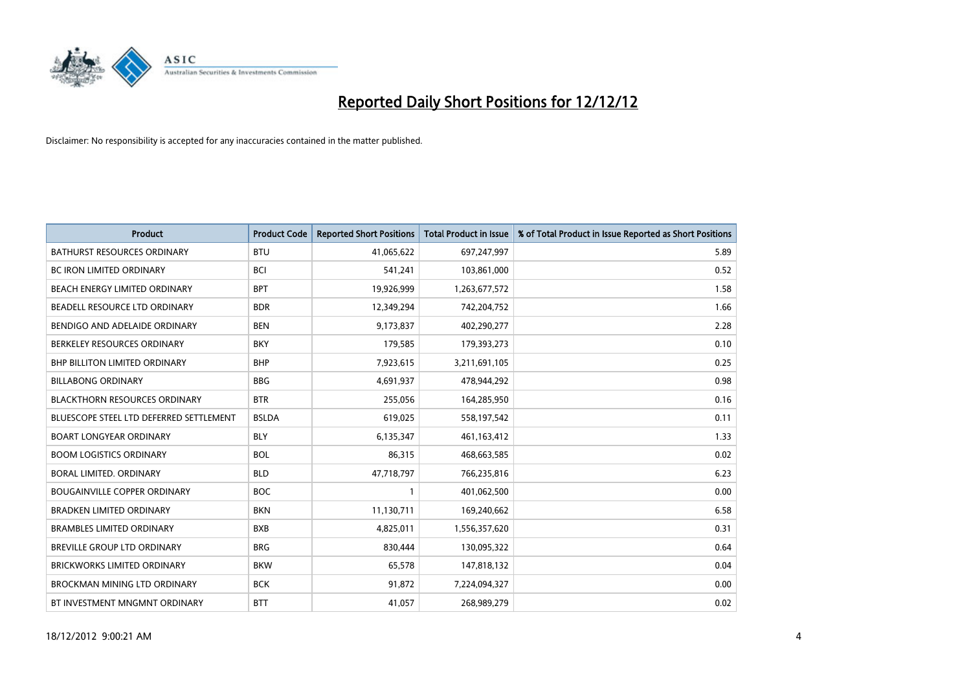

| <b>Product</b>                          | <b>Product Code</b> | <b>Reported Short Positions</b> | <b>Total Product in Issue</b> | % of Total Product in Issue Reported as Short Positions |
|-----------------------------------------|---------------------|---------------------------------|-------------------------------|---------------------------------------------------------|
| <b>BATHURST RESOURCES ORDINARY</b>      | <b>BTU</b>          | 41,065,622                      | 697,247,997                   | 5.89                                                    |
| BC IRON LIMITED ORDINARY                | <b>BCI</b>          | 541,241                         | 103,861,000                   | 0.52                                                    |
| <b>BEACH ENERGY LIMITED ORDINARY</b>    | <b>BPT</b>          | 19,926,999                      | 1,263,677,572                 | 1.58                                                    |
| BEADELL RESOURCE LTD ORDINARY           | <b>BDR</b>          | 12,349,294                      | 742,204,752                   | 1.66                                                    |
| BENDIGO AND ADELAIDE ORDINARY           | <b>BEN</b>          | 9,173,837                       | 402,290,277                   | 2.28                                                    |
| BERKELEY RESOURCES ORDINARY             | <b>BKY</b>          | 179,585                         | 179,393,273                   | 0.10                                                    |
| <b>BHP BILLITON LIMITED ORDINARY</b>    | <b>BHP</b>          | 7,923,615                       | 3,211,691,105                 | 0.25                                                    |
| <b>BILLABONG ORDINARY</b>               | <b>BBG</b>          | 4,691,937                       | 478,944,292                   | 0.98                                                    |
| <b>BLACKTHORN RESOURCES ORDINARY</b>    | <b>BTR</b>          | 255,056                         | 164,285,950                   | 0.16                                                    |
| BLUESCOPE STEEL LTD DEFERRED SETTLEMENT | <b>BSLDA</b>        | 619,025                         | 558,197,542                   | 0.11                                                    |
| <b>BOART LONGYEAR ORDINARY</b>          | <b>BLY</b>          | 6,135,347                       | 461,163,412                   | 1.33                                                    |
| <b>BOOM LOGISTICS ORDINARY</b>          | <b>BOL</b>          | 86,315                          | 468,663,585                   | 0.02                                                    |
| BORAL LIMITED. ORDINARY                 | <b>BLD</b>          | 47,718,797                      | 766,235,816                   | 6.23                                                    |
| <b>BOUGAINVILLE COPPER ORDINARY</b>     | <b>BOC</b>          |                                 | 401,062,500                   | 0.00                                                    |
| <b>BRADKEN LIMITED ORDINARY</b>         | <b>BKN</b>          | 11,130,711                      | 169,240,662                   | 6.58                                                    |
| <b>BRAMBLES LIMITED ORDINARY</b>        | <b>BXB</b>          | 4,825,011                       | 1,556,357,620                 | 0.31                                                    |
| BREVILLE GROUP LTD ORDINARY             | <b>BRG</b>          | 830,444                         | 130,095,322                   | 0.64                                                    |
| <b>BRICKWORKS LIMITED ORDINARY</b>      | <b>BKW</b>          | 65,578                          | 147,818,132                   | 0.04                                                    |
| <b>BROCKMAN MINING LTD ORDINARY</b>     | <b>BCK</b>          | 91,872                          | 7,224,094,327                 | 0.00                                                    |
| BT INVESTMENT MNGMNT ORDINARY           | <b>BTT</b>          | 41,057                          | 268,989,279                   | 0.02                                                    |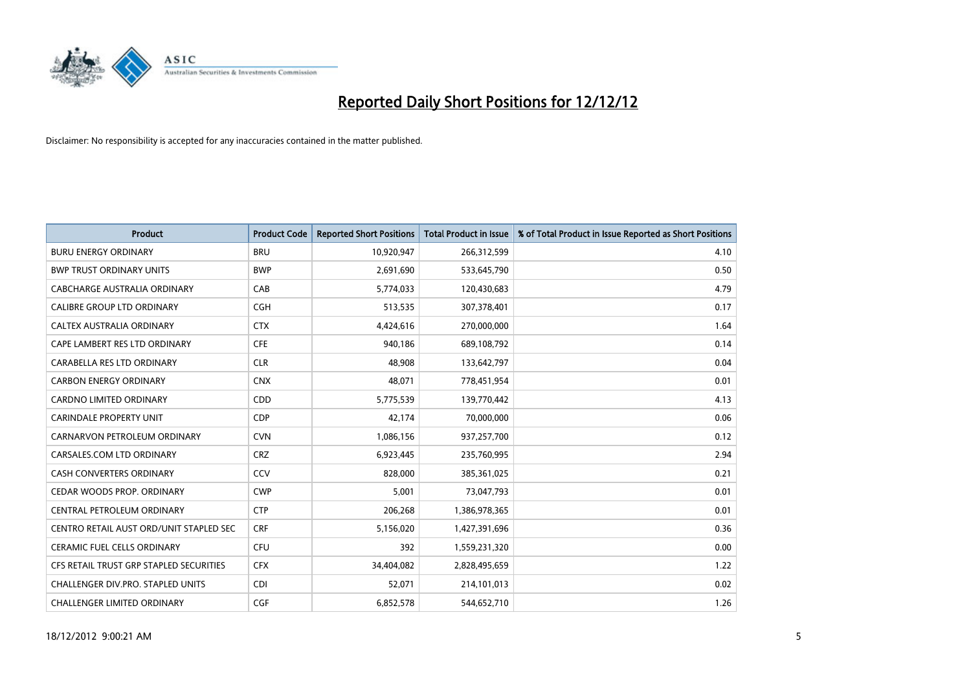

| <b>Product</b>                          | <b>Product Code</b> | <b>Reported Short Positions</b> | <b>Total Product in Issue</b> | % of Total Product in Issue Reported as Short Positions |
|-----------------------------------------|---------------------|---------------------------------|-------------------------------|---------------------------------------------------------|
| <b>BURU ENERGY ORDINARY</b>             | <b>BRU</b>          | 10,920,947                      | 266,312,599                   | 4.10                                                    |
| <b>BWP TRUST ORDINARY UNITS</b>         | <b>BWP</b>          | 2,691,690                       | 533,645,790                   | 0.50                                                    |
| CABCHARGE AUSTRALIA ORDINARY            | CAB                 | 5,774,033                       | 120,430,683                   | 4.79                                                    |
| CALIBRE GROUP LTD ORDINARY              | <b>CGH</b>          | 513,535                         | 307,378,401                   | 0.17                                                    |
| CALTEX AUSTRALIA ORDINARY               | <b>CTX</b>          | 4,424,616                       | 270,000,000                   | 1.64                                                    |
| CAPE LAMBERT RES LTD ORDINARY           | <b>CFE</b>          | 940,186                         | 689,108,792                   | 0.14                                                    |
| CARABELLA RES LTD ORDINARY              | <b>CLR</b>          | 48.908                          | 133,642,797                   | 0.04                                                    |
| <b>CARBON ENERGY ORDINARY</b>           | <b>CNX</b>          | 48,071                          | 778,451,954                   | 0.01                                                    |
| CARDNO LIMITED ORDINARY                 | CDD                 | 5,775,539                       | 139,770,442                   | 4.13                                                    |
| <b>CARINDALE PROPERTY UNIT</b>          | <b>CDP</b>          | 42,174                          | 70,000,000                    | 0.06                                                    |
| CARNARVON PETROLEUM ORDINARY            | <b>CVN</b>          | 1,086,156                       | 937,257,700                   | 0.12                                                    |
| CARSALES.COM LTD ORDINARY               | <b>CRZ</b>          | 6,923,445                       | 235,760,995                   | 2.94                                                    |
| <b>CASH CONVERTERS ORDINARY</b>         | CCV                 | 828,000                         | 385,361,025                   | 0.21                                                    |
| CEDAR WOODS PROP. ORDINARY              | <b>CWP</b>          | 5.001                           | 73,047,793                    | 0.01                                                    |
| CENTRAL PETROLEUM ORDINARY              | <b>CTP</b>          | 206,268                         | 1,386,978,365                 | 0.01                                                    |
| CENTRO RETAIL AUST ORD/UNIT STAPLED SEC | <b>CRF</b>          | 5,156,020                       | 1,427,391,696                 | 0.36                                                    |
| <b>CERAMIC FUEL CELLS ORDINARY</b>      | <b>CFU</b>          | 392                             | 1,559,231,320                 | 0.00                                                    |
| CFS RETAIL TRUST GRP STAPLED SECURITIES | <b>CFX</b>          | 34,404,082                      | 2,828,495,659                 | 1.22                                                    |
| CHALLENGER DIV.PRO. STAPLED UNITS       | <b>CDI</b>          | 52,071                          | 214,101,013                   | 0.02                                                    |
| <b>CHALLENGER LIMITED ORDINARY</b>      | <b>CGF</b>          | 6,852,578                       | 544,652,710                   | 1.26                                                    |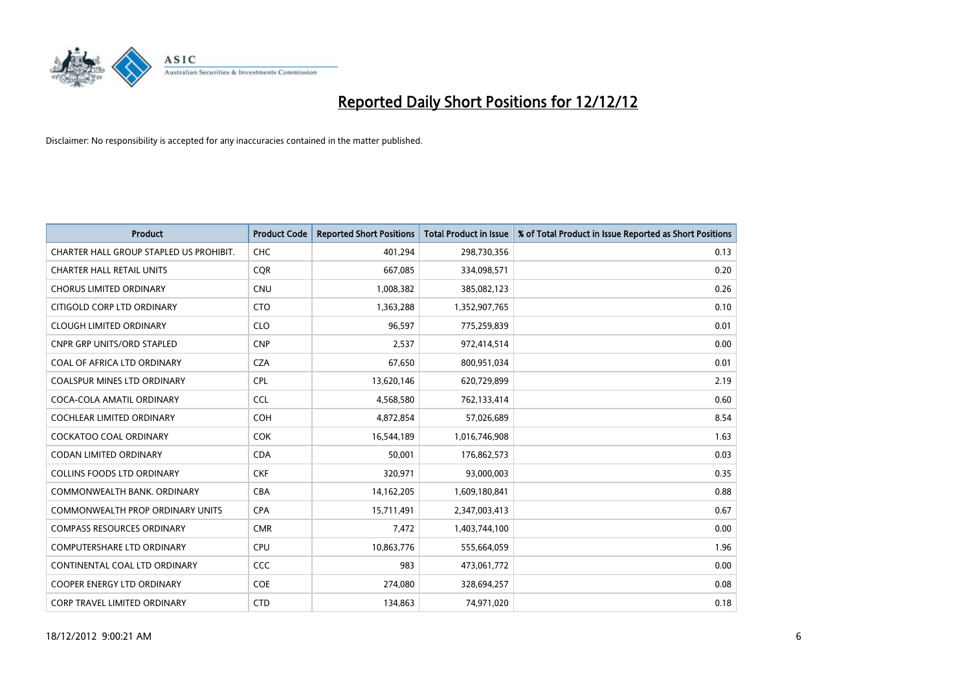

| <b>Product</b>                          | <b>Product Code</b> | <b>Reported Short Positions</b> | <b>Total Product in Issue</b> | % of Total Product in Issue Reported as Short Positions |
|-----------------------------------------|---------------------|---------------------------------|-------------------------------|---------------------------------------------------------|
| CHARTER HALL GROUP STAPLED US PROHIBIT. | <b>CHC</b>          | 401,294                         | 298,730,356                   | 0.13                                                    |
| <b>CHARTER HALL RETAIL UNITS</b>        | <b>COR</b>          | 667,085                         | 334,098,571                   | 0.20                                                    |
| <b>CHORUS LIMITED ORDINARY</b>          | <b>CNU</b>          | 1,008,382                       | 385,082,123                   | 0.26                                                    |
| CITIGOLD CORP LTD ORDINARY              | <b>CTO</b>          | 1,363,288                       | 1,352,907,765                 | 0.10                                                    |
| <b>CLOUGH LIMITED ORDINARY</b>          | <b>CLO</b>          | 96,597                          | 775,259,839                   | 0.01                                                    |
| <b>CNPR GRP UNITS/ORD STAPLED</b>       | <b>CNP</b>          | 2,537                           | 972,414,514                   | 0.00                                                    |
| COAL OF AFRICA LTD ORDINARY             | <b>CZA</b>          | 67,650                          | 800,951,034                   | 0.01                                                    |
| COALSPUR MINES LTD ORDINARY             | <b>CPL</b>          | 13,620,146                      | 620,729,899                   | 2.19                                                    |
| COCA-COLA AMATIL ORDINARY               | <b>CCL</b>          | 4,568,580                       | 762,133,414                   | 0.60                                                    |
| <b>COCHLEAR LIMITED ORDINARY</b>        | <b>COH</b>          | 4,872,854                       | 57,026,689                    | 8.54                                                    |
| COCKATOO COAL ORDINARY                  | <b>COK</b>          | 16,544,189                      | 1,016,746,908                 | 1.63                                                    |
| <b>CODAN LIMITED ORDINARY</b>           | <b>CDA</b>          | 50,001                          | 176,862,573                   | 0.03                                                    |
| COLLINS FOODS LTD ORDINARY              | <b>CKF</b>          | 320,971                         | 93,000,003                    | 0.35                                                    |
| COMMONWEALTH BANK, ORDINARY             | <b>CBA</b>          | 14,162,205                      | 1,609,180,841                 | 0.88                                                    |
| <b>COMMONWEALTH PROP ORDINARY UNITS</b> | <b>CPA</b>          | 15,711,491                      | 2,347,003,413                 | 0.67                                                    |
| <b>COMPASS RESOURCES ORDINARY</b>       | <b>CMR</b>          | 7,472                           | 1,403,744,100                 | 0.00                                                    |
| COMPUTERSHARE LTD ORDINARY              | <b>CPU</b>          | 10,863,776                      | 555,664,059                   | 1.96                                                    |
| CONTINENTAL COAL LTD ORDINARY           | CCC                 | 983                             | 473,061,772                   | 0.00                                                    |
| <b>COOPER ENERGY LTD ORDINARY</b>       | <b>COE</b>          | 274,080                         | 328,694,257                   | 0.08                                                    |
| CORP TRAVEL LIMITED ORDINARY            | <b>CTD</b>          | 134,863                         | 74,971,020                    | 0.18                                                    |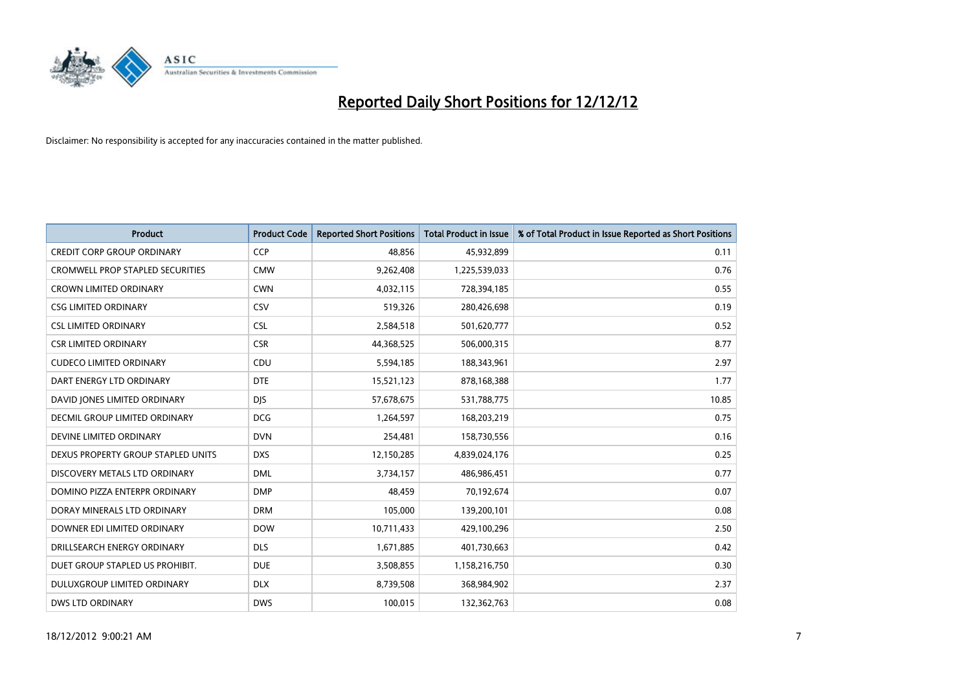

| <b>Product</b>                     | <b>Product Code</b> | <b>Reported Short Positions</b> | Total Product in Issue | % of Total Product in Issue Reported as Short Positions |
|------------------------------------|---------------------|---------------------------------|------------------------|---------------------------------------------------------|
| <b>CREDIT CORP GROUP ORDINARY</b>  | <b>CCP</b>          | 48.856                          | 45,932,899             | 0.11                                                    |
| CROMWELL PROP STAPLED SECURITIES   | <b>CMW</b>          | 9,262,408                       | 1,225,539,033          | 0.76                                                    |
| <b>CROWN LIMITED ORDINARY</b>      | <b>CWN</b>          | 4,032,115                       | 728,394,185            | 0.55                                                    |
| <b>CSG LIMITED ORDINARY</b>        | CSV                 | 519,326                         | 280,426,698            | 0.19                                                    |
| <b>CSL LIMITED ORDINARY</b>        | <b>CSL</b>          | 2,584,518                       | 501,620,777            | 0.52                                                    |
| <b>CSR LIMITED ORDINARY</b>        | <b>CSR</b>          | 44,368,525                      | 506,000,315            | 8.77                                                    |
| <b>CUDECO LIMITED ORDINARY</b>     | CDU                 | 5,594,185                       | 188,343,961            | 2.97                                                    |
| DART ENERGY LTD ORDINARY           | <b>DTE</b>          | 15,521,123                      | 878,168,388            | 1.77                                                    |
| DAVID JONES LIMITED ORDINARY       | <b>DIS</b>          | 57,678,675                      | 531,788,775            | 10.85                                                   |
| DECMIL GROUP LIMITED ORDINARY      | <b>DCG</b>          | 1,264,597                       | 168,203,219            | 0.75                                                    |
| DEVINE LIMITED ORDINARY            | <b>DVN</b>          | 254,481                         | 158,730,556            | 0.16                                                    |
| DEXUS PROPERTY GROUP STAPLED UNITS | <b>DXS</b>          | 12,150,285                      | 4,839,024,176          | 0.25                                                    |
| DISCOVERY METALS LTD ORDINARY      | <b>DML</b>          | 3,734,157                       | 486,986,451            | 0.77                                                    |
| DOMINO PIZZA ENTERPR ORDINARY      | <b>DMP</b>          | 48.459                          | 70,192,674             | 0.07                                                    |
| DORAY MINERALS LTD ORDINARY        | <b>DRM</b>          | 105,000                         | 139,200,101            | 0.08                                                    |
| DOWNER EDI LIMITED ORDINARY        | <b>DOW</b>          | 10,711,433                      | 429,100,296            | 2.50                                                    |
| DRILLSEARCH ENERGY ORDINARY        | <b>DLS</b>          | 1,671,885                       | 401,730,663            | 0.42                                                    |
| DUET GROUP STAPLED US PROHIBIT.    | <b>DUE</b>          | 3,508,855                       | 1,158,216,750          | 0.30                                                    |
| DULUXGROUP LIMITED ORDINARY        | <b>DLX</b>          | 8,739,508                       | 368,984,902            | 2.37                                                    |
| <b>DWS LTD ORDINARY</b>            | <b>DWS</b>          | 100,015                         | 132,362,763            | 0.08                                                    |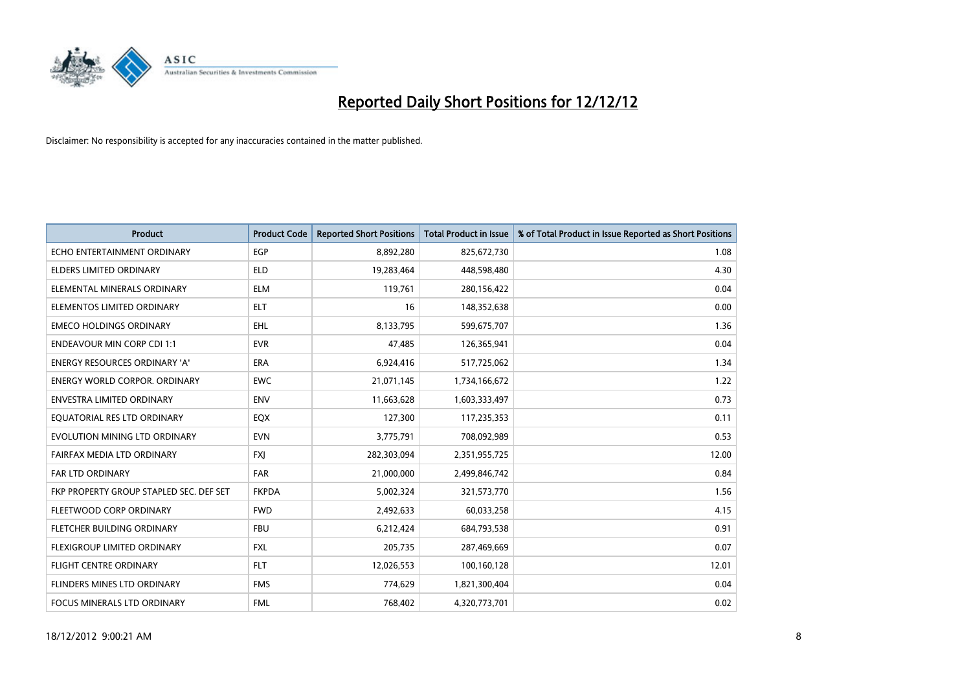

| <b>Product</b>                          | <b>Product Code</b> | <b>Reported Short Positions</b> | <b>Total Product in Issue</b> | % of Total Product in Issue Reported as Short Positions |
|-----------------------------------------|---------------------|---------------------------------|-------------------------------|---------------------------------------------------------|
| ECHO ENTERTAINMENT ORDINARY             | <b>EGP</b>          | 8,892,280                       | 825,672,730                   | 1.08                                                    |
| ELDERS LIMITED ORDINARY                 | <b>ELD</b>          | 19,283,464                      | 448,598,480                   | 4.30                                                    |
| ELEMENTAL MINERALS ORDINARY             | <b>ELM</b>          | 119,761                         | 280,156,422                   | 0.04                                                    |
| ELEMENTOS LIMITED ORDINARY              | <b>ELT</b>          | 16                              | 148,352,638                   | 0.00                                                    |
| <b>EMECO HOLDINGS ORDINARY</b>          | <b>EHL</b>          | 8,133,795                       | 599,675,707                   | 1.36                                                    |
| <b>ENDEAVOUR MIN CORP CDI 1:1</b>       | <b>EVR</b>          | 47,485                          | 126,365,941                   | 0.04                                                    |
| <b>ENERGY RESOURCES ORDINARY 'A'</b>    | <b>ERA</b>          | 6,924,416                       | 517,725,062                   | 1.34                                                    |
| <b>ENERGY WORLD CORPOR. ORDINARY</b>    | <b>EWC</b>          | 21,071,145                      | 1,734,166,672                 | 1.22                                                    |
| <b>ENVESTRA LIMITED ORDINARY</b>        | <b>ENV</b>          | 11,663,628                      | 1,603,333,497                 | 0.73                                                    |
| EQUATORIAL RES LTD ORDINARY             | EQX                 | 127,300                         | 117,235,353                   | 0.11                                                    |
| EVOLUTION MINING LTD ORDINARY           | <b>EVN</b>          | 3,775,791                       | 708,092,989                   | 0.53                                                    |
| FAIRFAX MEDIA LTD ORDINARY              | <b>FXI</b>          | 282,303,094                     | 2,351,955,725                 | 12.00                                                   |
| FAR LTD ORDINARY                        | <b>FAR</b>          | 21,000,000                      | 2,499,846,742                 | 0.84                                                    |
| FKP PROPERTY GROUP STAPLED SEC. DEF SET | <b>FKPDA</b>        | 5,002,324                       | 321,573,770                   | 1.56                                                    |
| FLEETWOOD CORP ORDINARY                 | <b>FWD</b>          | 2,492,633                       | 60,033,258                    | 4.15                                                    |
| FLETCHER BUILDING ORDINARY              | <b>FBU</b>          | 6,212,424                       | 684,793,538                   | 0.91                                                    |
| FLEXIGROUP LIMITED ORDINARY             | <b>FXL</b>          | 205,735                         | 287,469,669                   | 0.07                                                    |
| <b>FLIGHT CENTRE ORDINARY</b>           | <b>FLT</b>          | 12,026,553                      | 100,160,128                   | 12.01                                                   |
| FLINDERS MINES LTD ORDINARY             | <b>FMS</b>          | 774,629                         | 1,821,300,404                 | 0.04                                                    |
| FOCUS MINERALS LTD ORDINARY             | <b>FML</b>          | 768,402                         | 4,320,773,701                 | 0.02                                                    |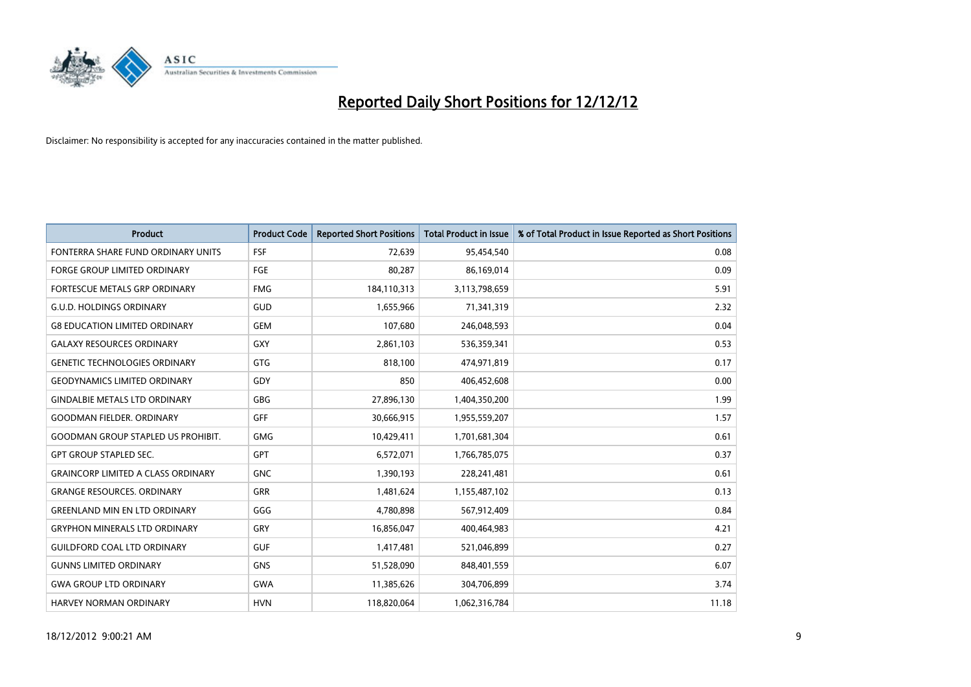

| <b>Product</b>                            | <b>Product Code</b> | <b>Reported Short Positions</b> | <b>Total Product in Issue</b> | % of Total Product in Issue Reported as Short Positions |
|-------------------------------------------|---------------------|---------------------------------|-------------------------------|---------------------------------------------------------|
| FONTERRA SHARE FUND ORDINARY UNITS        | <b>FSF</b>          | 72,639                          | 95,454,540                    | 0.08                                                    |
| FORGE GROUP LIMITED ORDINARY              | FGE                 | 80,287                          | 86,169,014                    | 0.09                                                    |
| FORTESCUE METALS GRP ORDINARY             | <b>FMG</b>          | 184,110,313                     | 3,113,798,659                 | 5.91                                                    |
| <b>G.U.D. HOLDINGS ORDINARY</b>           | GUD                 | 1,655,966                       | 71,341,319                    | 2.32                                                    |
| <b>G8 EDUCATION LIMITED ORDINARY</b>      | <b>GEM</b>          | 107,680                         | 246,048,593                   | 0.04                                                    |
| <b>GALAXY RESOURCES ORDINARY</b>          | <b>GXY</b>          | 2,861,103                       | 536,359,341                   | 0.53                                                    |
| <b>GENETIC TECHNOLOGIES ORDINARY</b>      | <b>GTG</b>          | 818,100                         | 474,971,819                   | 0.17                                                    |
| <b>GEODYNAMICS LIMITED ORDINARY</b>       | GDY                 | 850                             | 406,452,608                   | 0.00                                                    |
| <b>GINDALBIE METALS LTD ORDINARY</b>      | <b>GBG</b>          | 27,896,130                      | 1,404,350,200                 | 1.99                                                    |
| <b>GOODMAN FIELDER, ORDINARY</b>          | GFF                 | 30,666,915                      | 1,955,559,207                 | 1.57                                                    |
| <b>GOODMAN GROUP STAPLED US PROHIBIT.</b> | <b>GMG</b>          | 10,429,411                      | 1,701,681,304                 | 0.61                                                    |
| <b>GPT GROUP STAPLED SEC.</b>             | <b>GPT</b>          | 6,572,071                       | 1,766,785,075                 | 0.37                                                    |
| <b>GRAINCORP LIMITED A CLASS ORDINARY</b> | <b>GNC</b>          | 1,390,193                       | 228,241,481                   | 0.61                                                    |
| <b>GRANGE RESOURCES, ORDINARY</b>         | <b>GRR</b>          | 1,481,624                       | 1,155,487,102                 | 0.13                                                    |
| <b>GREENLAND MIN EN LTD ORDINARY</b>      | GGG                 | 4,780,898                       | 567,912,409                   | 0.84                                                    |
| <b>GRYPHON MINERALS LTD ORDINARY</b>      | GRY                 | 16,856,047                      | 400,464,983                   | 4.21                                                    |
| <b>GUILDFORD COAL LTD ORDINARY</b>        | <b>GUF</b>          | 1,417,481                       | 521,046,899                   | 0.27                                                    |
| <b>GUNNS LIMITED ORDINARY</b>             | <b>GNS</b>          | 51,528,090                      | 848,401,559                   | 6.07                                                    |
| <b>GWA GROUP LTD ORDINARY</b>             | <b>GWA</b>          | 11,385,626                      | 304,706,899                   | 3.74                                                    |
| <b>HARVEY NORMAN ORDINARY</b>             | <b>HVN</b>          | 118,820,064                     | 1,062,316,784                 | 11.18                                                   |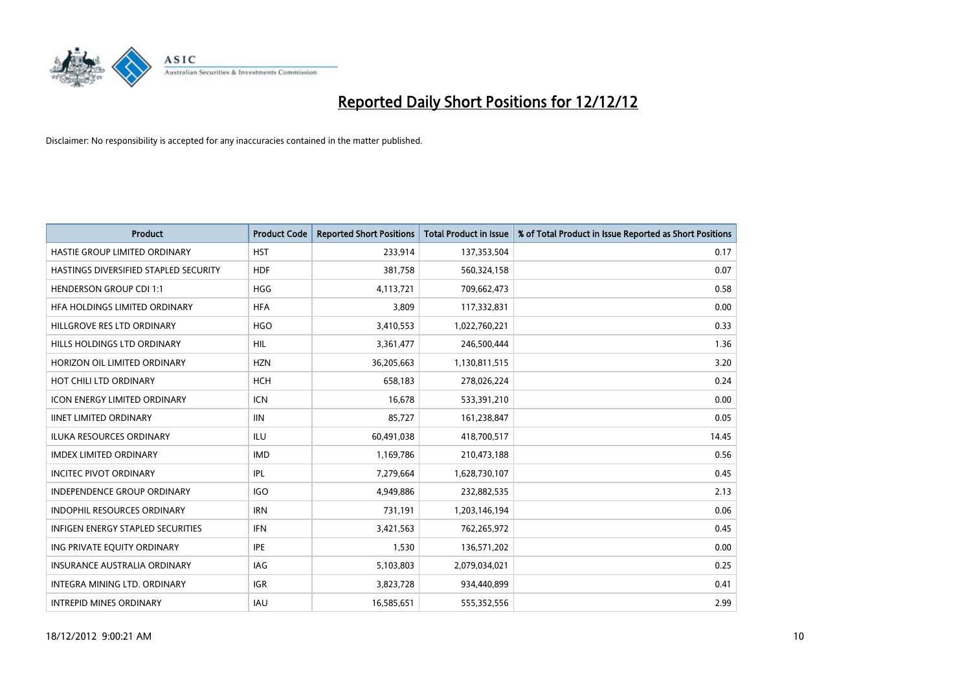

| <b>Product</b>                        | <b>Product Code</b> | <b>Reported Short Positions</b> | <b>Total Product in Issue</b> | % of Total Product in Issue Reported as Short Positions |
|---------------------------------------|---------------------|---------------------------------|-------------------------------|---------------------------------------------------------|
| HASTIE GROUP LIMITED ORDINARY         | <b>HST</b>          | 233,914                         | 137,353,504                   | 0.17                                                    |
| HASTINGS DIVERSIFIED STAPLED SECURITY | <b>HDF</b>          | 381,758                         | 560,324,158                   | 0.07                                                    |
| <b>HENDERSON GROUP CDI 1:1</b>        | <b>HGG</b>          | 4,113,721                       | 709,662,473                   | 0.58                                                    |
| HFA HOLDINGS LIMITED ORDINARY         | <b>HFA</b>          | 3,809                           | 117,332,831                   | 0.00                                                    |
| HILLGROVE RES LTD ORDINARY            | <b>HGO</b>          | 3,410,553                       | 1,022,760,221                 | 0.33                                                    |
| HILLS HOLDINGS LTD ORDINARY           | <b>HIL</b>          | 3,361,477                       | 246,500,444                   | 1.36                                                    |
| HORIZON OIL LIMITED ORDINARY          | <b>HZN</b>          | 36,205,663                      | 1,130,811,515                 | 3.20                                                    |
| HOT CHILI LTD ORDINARY                | <b>HCH</b>          | 658,183                         | 278,026,224                   | 0.24                                                    |
| <b>ICON ENERGY LIMITED ORDINARY</b>   | <b>ICN</b>          | 16,678                          | 533,391,210                   | 0.00                                                    |
| <b>IINET LIMITED ORDINARY</b>         | <b>IIN</b>          | 85,727                          | 161,238,847                   | 0.05                                                    |
| ILUKA RESOURCES ORDINARY              | ILU                 | 60,491,038                      | 418,700,517                   | 14.45                                                   |
| <b>IMDEX LIMITED ORDINARY</b>         | <b>IMD</b>          | 1,169,786                       | 210,473,188                   | 0.56                                                    |
| <b>INCITEC PIVOT ORDINARY</b>         | <b>IPL</b>          | 7,279,664                       | 1,628,730,107                 | 0.45                                                    |
| <b>INDEPENDENCE GROUP ORDINARY</b>    | <b>IGO</b>          | 4,949,886                       | 232,882,535                   | 2.13                                                    |
| <b>INDOPHIL RESOURCES ORDINARY</b>    | <b>IRN</b>          | 731,191                         | 1,203,146,194                 | 0.06                                                    |
| INFIGEN ENERGY STAPLED SECURITIES     | <b>IFN</b>          | 3,421,563                       | 762,265,972                   | 0.45                                                    |
| ING PRIVATE EQUITY ORDINARY           | <b>IPE</b>          | 1,530                           | 136,571,202                   | 0.00                                                    |
| <b>INSURANCE AUSTRALIA ORDINARY</b>   | IAG                 | 5,103,803                       | 2,079,034,021                 | 0.25                                                    |
| INTEGRA MINING LTD, ORDINARY          | <b>IGR</b>          | 3,823,728                       | 934,440,899                   | 0.41                                                    |
| <b>INTREPID MINES ORDINARY</b>        | <b>IAU</b>          | 16,585,651                      | 555,352,556                   | 2.99                                                    |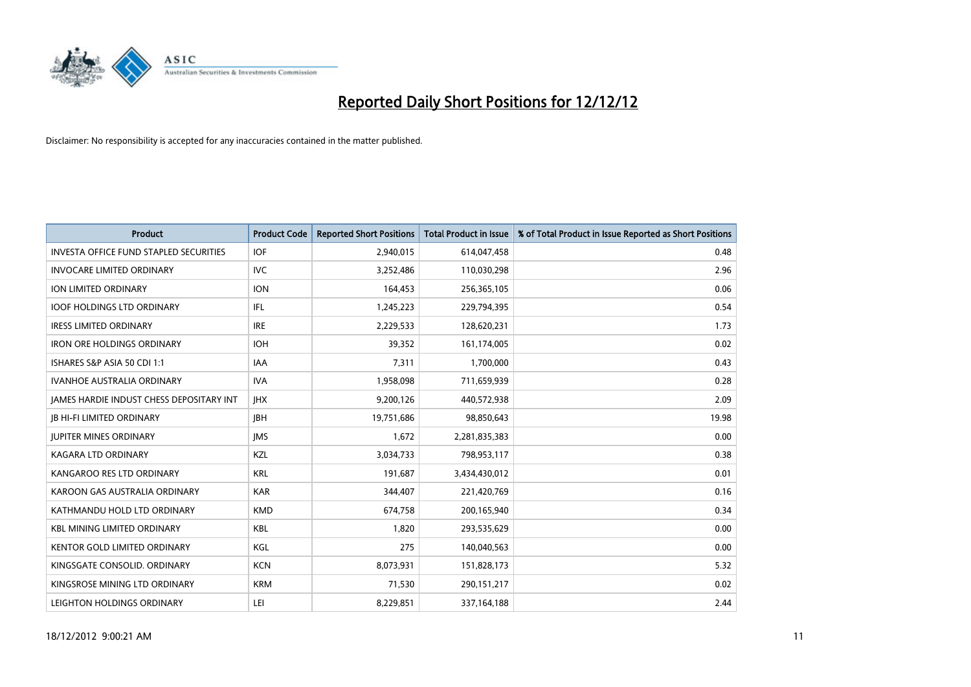

| <b>Product</b>                                  | <b>Product Code</b> | <b>Reported Short Positions</b> | <b>Total Product in Issue</b> | % of Total Product in Issue Reported as Short Positions |
|-------------------------------------------------|---------------------|---------------------------------|-------------------------------|---------------------------------------------------------|
| <b>INVESTA OFFICE FUND STAPLED SECURITIES</b>   | <b>IOF</b>          | 2,940,015                       | 614,047,458                   | 0.48                                                    |
| <b>INVOCARE LIMITED ORDINARY</b>                | IVC                 | 3,252,486                       | 110,030,298                   | 2.96                                                    |
| <b>ION LIMITED ORDINARY</b>                     | <b>ION</b>          | 164,453                         | 256,365,105                   | 0.06                                                    |
| <b>IOOF HOLDINGS LTD ORDINARY</b>               | <b>IFL</b>          | 1,245,223                       | 229,794,395                   | 0.54                                                    |
| <b>IRESS LIMITED ORDINARY</b>                   | <b>IRE</b>          | 2,229,533                       | 128,620,231                   | 1.73                                                    |
| <b>IRON ORE HOLDINGS ORDINARY</b>               | <b>IOH</b>          | 39,352                          | 161,174,005                   | 0.02                                                    |
| ISHARES S&P ASIA 50 CDI 1:1                     | IAA                 | 7,311                           | 1,700,000                     | 0.43                                                    |
| <b>IVANHOE AUSTRALIA ORDINARY</b>               | <b>IVA</b>          | 1,958,098                       | 711,659,939                   | 0.28                                                    |
| <b>JAMES HARDIE INDUST CHESS DEPOSITARY INT</b> | <b>IHX</b>          | 9,200,126                       | 440,572,938                   | 2.09                                                    |
| <b>IB HI-FI LIMITED ORDINARY</b>                | <b>IBH</b>          | 19,751,686                      | 98,850,643                    | 19.98                                                   |
| <b>JUPITER MINES ORDINARY</b>                   | <b>IMS</b>          | 1,672                           | 2,281,835,383                 | 0.00                                                    |
| <b>KAGARA LTD ORDINARY</b>                      | KZL                 | 3,034,733                       | 798,953,117                   | 0.38                                                    |
| KANGAROO RES LTD ORDINARY                       | <b>KRL</b>          | 191,687                         | 3,434,430,012                 | 0.01                                                    |
| KAROON GAS AUSTRALIA ORDINARY                   | <b>KAR</b>          | 344,407                         | 221,420,769                   | 0.16                                                    |
| KATHMANDU HOLD LTD ORDINARY                     | <b>KMD</b>          | 674,758                         | 200,165,940                   | 0.34                                                    |
| <b>KBL MINING LIMITED ORDINARY</b>              | <b>KBL</b>          | 1,820                           | 293,535,629                   | 0.00                                                    |
| KENTOR GOLD LIMITED ORDINARY                    | KGL                 | 275                             | 140,040,563                   | 0.00                                                    |
| KINGSGATE CONSOLID. ORDINARY                    | <b>KCN</b>          | 8,073,931                       | 151,828,173                   | 5.32                                                    |
| KINGSROSE MINING LTD ORDINARY                   | <b>KRM</b>          | 71,530                          | 290,151,217                   | 0.02                                                    |
| LEIGHTON HOLDINGS ORDINARY                      | LEI                 | 8,229,851                       | 337, 164, 188                 | 2.44                                                    |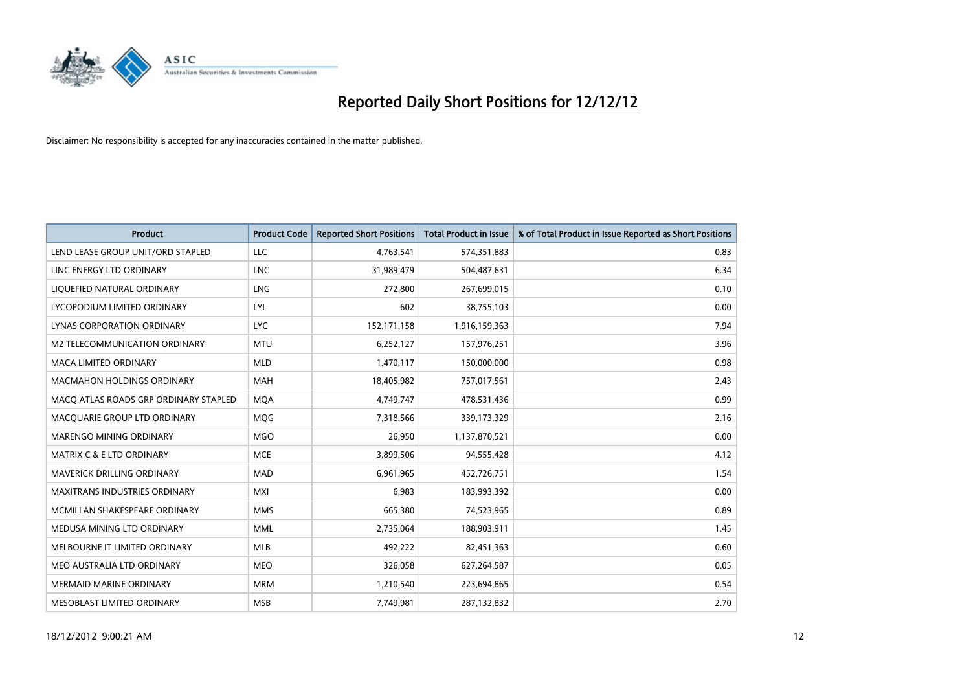

| <b>Product</b>                        | <b>Product Code</b> | <b>Reported Short Positions</b> | <b>Total Product in Issue</b> | % of Total Product in Issue Reported as Short Positions |
|---------------------------------------|---------------------|---------------------------------|-------------------------------|---------------------------------------------------------|
| LEND LEASE GROUP UNIT/ORD STAPLED     | LLC                 | 4,763,541                       | 574,351,883                   | 0.83                                                    |
| LINC ENERGY LTD ORDINARY              | <b>LNC</b>          | 31,989,479                      | 504,487,631                   | 6.34                                                    |
| LIQUEFIED NATURAL ORDINARY            | <b>LNG</b>          | 272,800                         | 267,699,015                   | 0.10                                                    |
| LYCOPODIUM LIMITED ORDINARY           | LYL                 | 602                             | 38,755,103                    | 0.00                                                    |
| LYNAS CORPORATION ORDINARY            | <b>LYC</b>          | 152,171,158                     | 1,916,159,363                 | 7.94                                                    |
| M2 TELECOMMUNICATION ORDINARY         | <b>MTU</b>          | 6,252,127                       | 157,976,251                   | 3.96                                                    |
| <b>MACA LIMITED ORDINARY</b>          | <b>MLD</b>          | 1,470,117                       | 150,000,000                   | 0.98                                                    |
| MACMAHON HOLDINGS ORDINARY            | <b>MAH</b>          | 18,405,982                      | 757,017,561                   | 2.43                                                    |
| MACO ATLAS ROADS GRP ORDINARY STAPLED | <b>MOA</b>          | 4,749,747                       | 478,531,436                   | 0.99                                                    |
| MACQUARIE GROUP LTD ORDINARY          | <b>MOG</b>          | 7,318,566                       | 339,173,329                   | 2.16                                                    |
| MARENGO MINING ORDINARY               | <b>MGO</b>          | 26,950                          | 1,137,870,521                 | 0.00                                                    |
| <b>MATRIX C &amp; E LTD ORDINARY</b>  | <b>MCE</b>          | 3,899,506                       | 94,555,428                    | 4.12                                                    |
| MAVERICK DRILLING ORDINARY            | <b>MAD</b>          | 6,961,965                       | 452,726,751                   | 1.54                                                    |
| <b>MAXITRANS INDUSTRIES ORDINARY</b>  | <b>MXI</b>          | 6,983                           | 183,993,392                   | 0.00                                                    |
| MCMILLAN SHAKESPEARE ORDINARY         | <b>MMS</b>          | 665,380                         | 74,523,965                    | 0.89                                                    |
| MEDUSA MINING LTD ORDINARY            | <b>MML</b>          | 2,735,064                       | 188,903,911                   | 1.45                                                    |
| MELBOURNE IT LIMITED ORDINARY         | <b>MLB</b>          | 492,222                         | 82,451,363                    | 0.60                                                    |
| MEO AUSTRALIA LTD ORDINARY            | <b>MEO</b>          | 326,058                         | 627,264,587                   | 0.05                                                    |
| <b>MERMAID MARINE ORDINARY</b>        | <b>MRM</b>          | 1,210,540                       | 223,694,865                   | 0.54                                                    |
| MESOBLAST LIMITED ORDINARY            | <b>MSB</b>          | 7,749,981                       | 287,132,832                   | 2.70                                                    |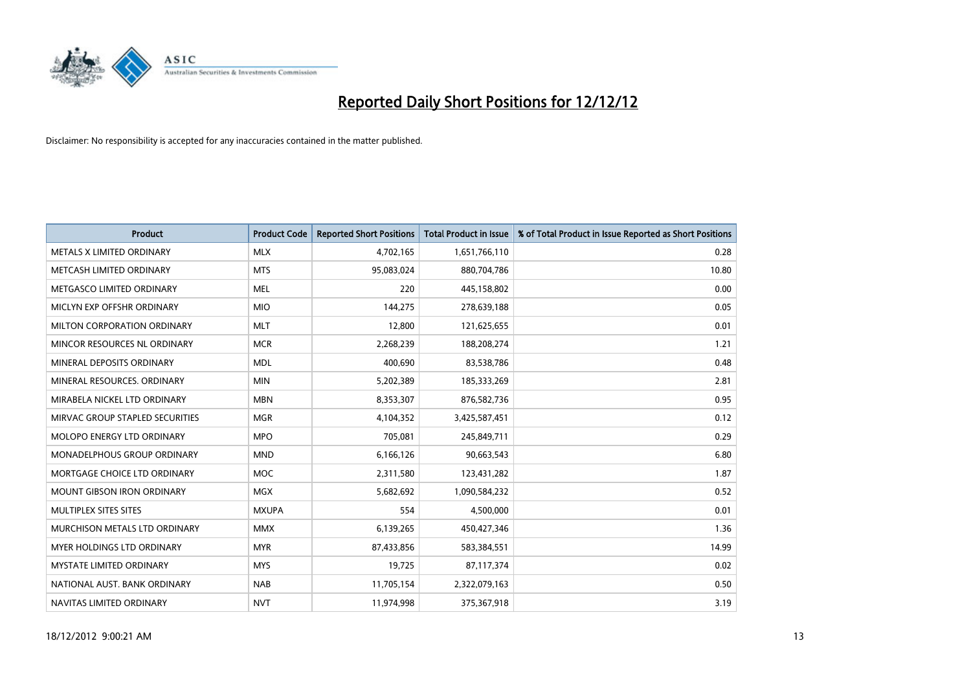

| <b>Product</b>                       | <b>Product Code</b> | <b>Reported Short Positions</b> | <b>Total Product in Issue</b> | % of Total Product in Issue Reported as Short Positions |
|--------------------------------------|---------------------|---------------------------------|-------------------------------|---------------------------------------------------------|
| METALS X LIMITED ORDINARY            | <b>MLX</b>          | 4,702,165                       | 1,651,766,110                 | 0.28                                                    |
| METCASH LIMITED ORDINARY             | <b>MTS</b>          | 95,083,024                      | 880,704,786                   | 10.80                                                   |
| METGASCO LIMITED ORDINARY            | <b>MEL</b>          | 220                             | 445,158,802                   | 0.00                                                    |
| MICLYN EXP OFFSHR ORDINARY           | <b>MIO</b>          | 144,275                         | 278,639,188                   | 0.05                                                    |
| MILTON CORPORATION ORDINARY          | <b>MLT</b>          | 12,800                          | 121,625,655                   | 0.01                                                    |
| MINCOR RESOURCES NL ORDINARY         | <b>MCR</b>          | 2,268,239                       | 188,208,274                   | 1.21                                                    |
| MINERAL DEPOSITS ORDINARY            | <b>MDL</b>          | 400.690                         | 83,538,786                    | 0.48                                                    |
| MINERAL RESOURCES. ORDINARY          | <b>MIN</b>          | 5,202,389                       | 185,333,269                   | 2.81                                                    |
| MIRABELA NICKEL LTD ORDINARY         | <b>MBN</b>          | 8,353,307                       | 876,582,736                   | 0.95                                                    |
| MIRVAC GROUP STAPLED SECURITIES      | <b>MGR</b>          | 4,104,352                       | 3,425,587,451                 | 0.12                                                    |
| <b>MOLOPO ENERGY LTD ORDINARY</b>    | <b>MPO</b>          | 705,081                         | 245,849,711                   | 0.29                                                    |
| MONADELPHOUS GROUP ORDINARY          | <b>MND</b>          | 6,166,126                       | 90,663,543                    | 6.80                                                    |
| MORTGAGE CHOICE LTD ORDINARY         | <b>MOC</b>          | 2,311,580                       | 123,431,282                   | 1.87                                                    |
| <b>MOUNT GIBSON IRON ORDINARY</b>    | <b>MGX</b>          | 5,682,692                       | 1,090,584,232                 | 0.52                                                    |
| <b>MULTIPLEX SITES SITES</b>         | <b>MXUPA</b>        | 554                             | 4,500,000                     | 0.01                                                    |
| <b>MURCHISON METALS LTD ORDINARY</b> | <b>MMX</b>          | 6,139,265                       | 450,427,346                   | 1.36                                                    |
| <b>MYER HOLDINGS LTD ORDINARY</b>    | <b>MYR</b>          | 87,433,856                      | 583,384,551                   | 14.99                                                   |
| MYSTATE LIMITED ORDINARY             | <b>MYS</b>          | 19,725                          | 87,117,374                    | 0.02                                                    |
| NATIONAL AUST, BANK ORDINARY         | <b>NAB</b>          | 11,705,154                      | 2,322,079,163                 | 0.50                                                    |
| NAVITAS LIMITED ORDINARY             | <b>NVT</b>          | 11,974,998                      | 375,367,918                   | 3.19                                                    |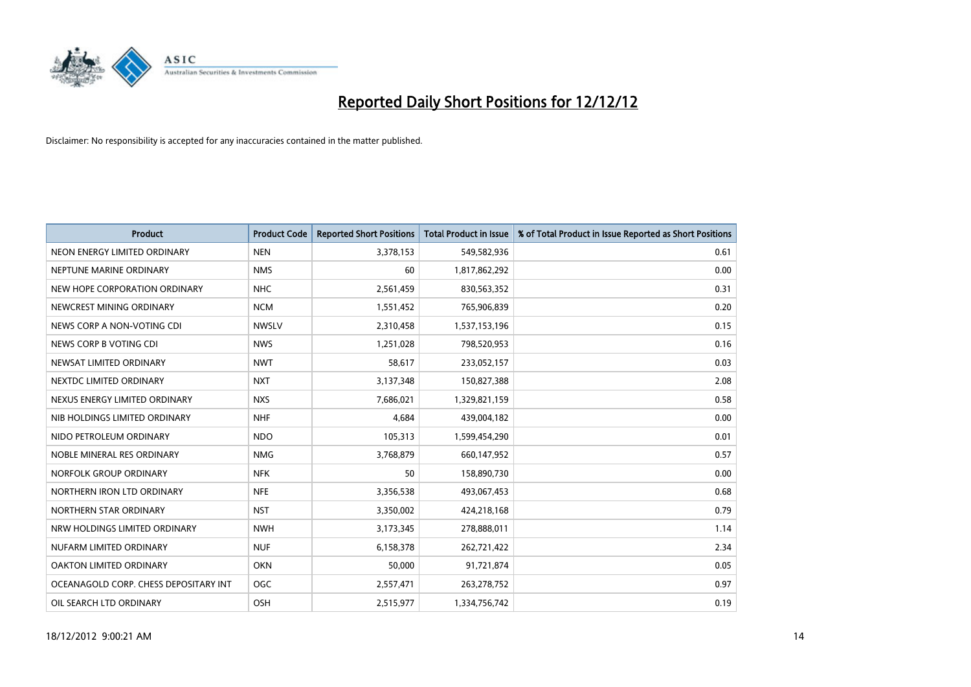

| <b>Product</b>                        | <b>Product Code</b> | <b>Reported Short Positions</b> | <b>Total Product in Issue</b> | % of Total Product in Issue Reported as Short Positions |
|---------------------------------------|---------------------|---------------------------------|-------------------------------|---------------------------------------------------------|
| NEON ENERGY LIMITED ORDINARY          | <b>NEN</b>          | 3,378,153                       | 549,582,936                   | 0.61                                                    |
| NEPTUNE MARINE ORDINARY               | <b>NMS</b>          | 60                              | 1,817,862,292                 | 0.00                                                    |
| NEW HOPE CORPORATION ORDINARY         | <b>NHC</b>          | 2,561,459                       | 830,563,352                   | 0.31                                                    |
| NEWCREST MINING ORDINARY              | <b>NCM</b>          | 1,551,452                       | 765,906,839                   | 0.20                                                    |
| NEWS CORP A NON-VOTING CDI            | <b>NWSLV</b>        | 2,310,458                       | 1,537,153,196                 | 0.15                                                    |
| NEWS CORP B VOTING CDI                | <b>NWS</b>          | 1,251,028                       | 798,520,953                   | 0.16                                                    |
| NEWSAT LIMITED ORDINARY               | <b>NWT</b>          | 58,617                          | 233,052,157                   | 0.03                                                    |
| NEXTDC LIMITED ORDINARY               | <b>NXT</b>          | 3,137,348                       | 150,827,388                   | 2.08                                                    |
| NEXUS ENERGY LIMITED ORDINARY         | <b>NXS</b>          | 7,686,021                       | 1,329,821,159                 | 0.58                                                    |
| NIB HOLDINGS LIMITED ORDINARY         | <b>NHF</b>          | 4,684                           | 439,004,182                   | 0.00                                                    |
| NIDO PETROLEUM ORDINARY               | <b>NDO</b>          | 105,313                         | 1,599,454,290                 | 0.01                                                    |
| NOBLE MINERAL RES ORDINARY            | <b>NMG</b>          | 3,768,879                       | 660,147,952                   | 0.57                                                    |
| NORFOLK GROUP ORDINARY                | <b>NFK</b>          | 50                              | 158,890,730                   | 0.00                                                    |
| NORTHERN IRON LTD ORDINARY            | <b>NFE</b>          | 3,356,538                       | 493,067,453                   | 0.68                                                    |
| NORTHERN STAR ORDINARY                | <b>NST</b>          | 3,350,002                       | 424,218,168                   | 0.79                                                    |
| NRW HOLDINGS LIMITED ORDINARY         | <b>NWH</b>          | 3,173,345                       | 278,888,011                   | 1.14                                                    |
| NUFARM LIMITED ORDINARY               | <b>NUF</b>          | 6,158,378                       | 262,721,422                   | 2.34                                                    |
| OAKTON LIMITED ORDINARY               | <b>OKN</b>          | 50,000                          | 91,721,874                    | 0.05                                                    |
| OCEANAGOLD CORP. CHESS DEPOSITARY INT | <b>OGC</b>          | 2,557,471                       | 263,278,752                   | 0.97                                                    |
| OIL SEARCH LTD ORDINARY               | OSH                 | 2,515,977                       | 1,334,756,742                 | 0.19                                                    |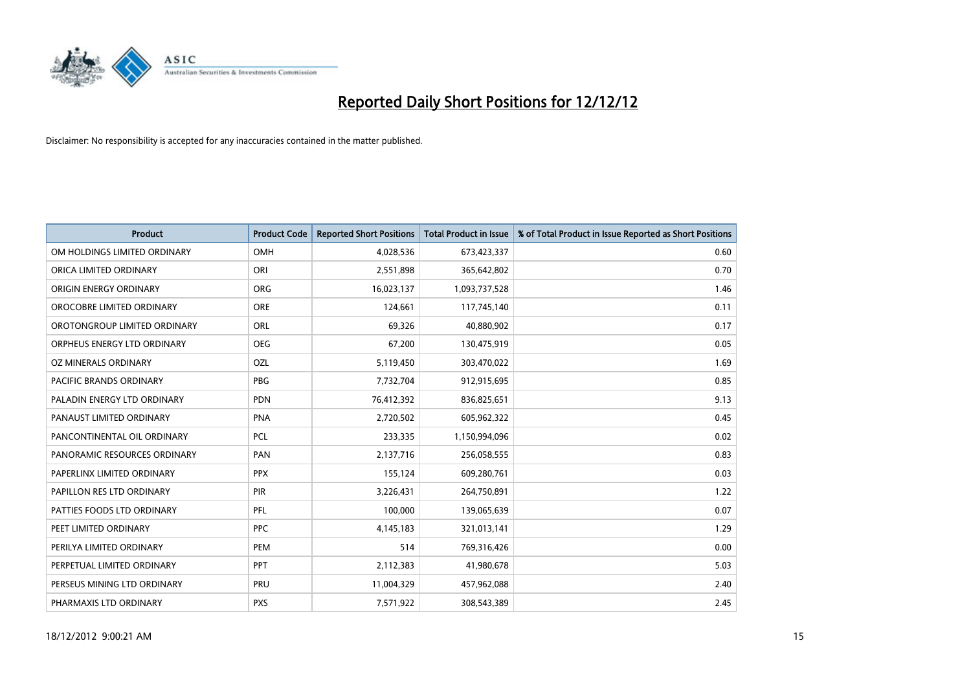

| <b>Product</b>               | <b>Product Code</b> | <b>Reported Short Positions</b> | <b>Total Product in Issue</b> | % of Total Product in Issue Reported as Short Positions |
|------------------------------|---------------------|---------------------------------|-------------------------------|---------------------------------------------------------|
| OM HOLDINGS LIMITED ORDINARY | OMH                 | 4,028,536                       | 673,423,337                   | 0.60                                                    |
| ORICA LIMITED ORDINARY       | ORI                 | 2,551,898                       | 365,642,802                   | 0.70                                                    |
| ORIGIN ENERGY ORDINARY       | <b>ORG</b>          | 16,023,137                      | 1,093,737,528                 | 1.46                                                    |
| OROCOBRE LIMITED ORDINARY    | <b>ORE</b>          | 124,661                         | 117,745,140                   | 0.11                                                    |
| OROTONGROUP LIMITED ORDINARY | ORL                 | 69,326                          | 40,880,902                    | 0.17                                                    |
| ORPHEUS ENERGY LTD ORDINARY  | <b>OEG</b>          | 67,200                          | 130,475,919                   | 0.05                                                    |
| OZ MINERALS ORDINARY         | OZL                 | 5,119,450                       | 303,470,022                   | 1.69                                                    |
| PACIFIC BRANDS ORDINARY      | PBG                 | 7,732,704                       | 912,915,695                   | 0.85                                                    |
| PALADIN ENERGY LTD ORDINARY  | <b>PDN</b>          | 76,412,392                      | 836,825,651                   | 9.13                                                    |
| PANAUST LIMITED ORDINARY     | PNA                 | 2,720,502                       | 605,962,322                   | 0.45                                                    |
| PANCONTINENTAL OIL ORDINARY  | PCL                 | 233,335                         | 1,150,994,096                 | 0.02                                                    |
| PANORAMIC RESOURCES ORDINARY | PAN                 | 2,137,716                       | 256,058,555                   | 0.83                                                    |
| PAPERLINX LIMITED ORDINARY   | <b>PPX</b>          | 155,124                         | 609,280,761                   | 0.03                                                    |
| PAPILLON RES LTD ORDINARY    | <b>PIR</b>          | 3,226,431                       | 264,750,891                   | 1.22                                                    |
| PATTIES FOODS LTD ORDINARY   | PFL                 | 100,000                         | 139,065,639                   | 0.07                                                    |
| PEET LIMITED ORDINARY        | <b>PPC</b>          | 4,145,183                       | 321,013,141                   | 1.29                                                    |
| PERILYA LIMITED ORDINARY     | PEM                 | 514                             | 769,316,426                   | 0.00                                                    |
| PERPETUAL LIMITED ORDINARY   | <b>PPT</b>          | 2,112,383                       | 41,980,678                    | 5.03                                                    |
| PERSEUS MINING LTD ORDINARY  | PRU                 | 11,004,329                      | 457,962,088                   | 2.40                                                    |
| PHARMAXIS LTD ORDINARY       | <b>PXS</b>          | 7,571,922                       | 308,543,389                   | 2.45                                                    |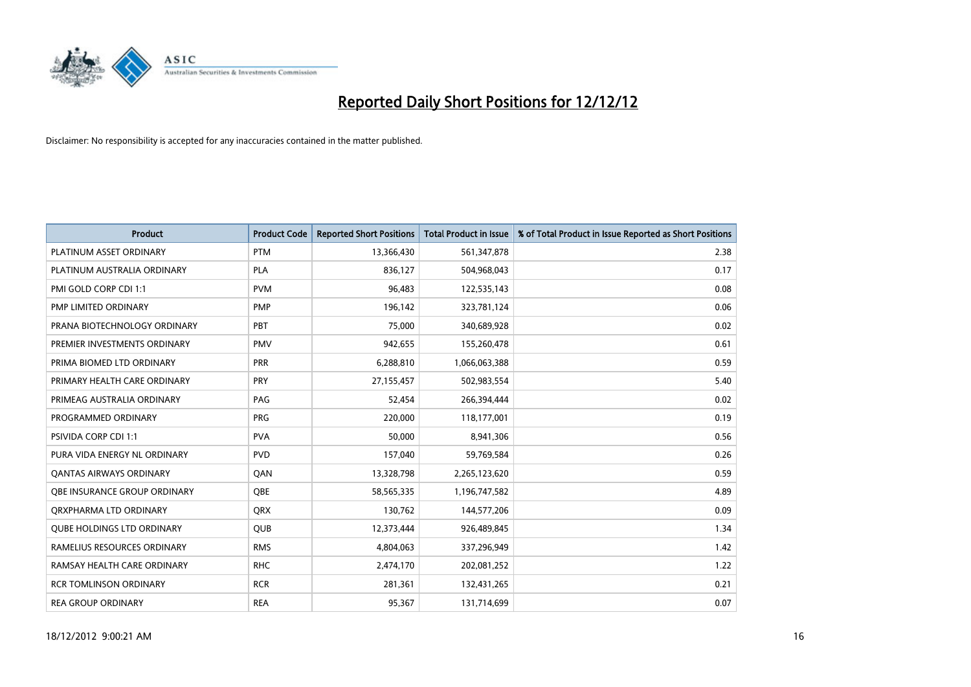

| <b>Product</b>                    | <b>Product Code</b> | <b>Reported Short Positions</b> | <b>Total Product in Issue</b> | % of Total Product in Issue Reported as Short Positions |
|-----------------------------------|---------------------|---------------------------------|-------------------------------|---------------------------------------------------------|
| PLATINUM ASSET ORDINARY           | <b>PTM</b>          | 13,366,430                      | 561,347,878                   | 2.38                                                    |
| PLATINUM AUSTRALIA ORDINARY       | <b>PLA</b>          | 836,127                         | 504,968,043                   | 0.17                                                    |
| PMI GOLD CORP CDI 1:1             | <b>PVM</b>          | 96,483                          | 122,535,143                   | 0.08                                                    |
| PMP LIMITED ORDINARY              | <b>PMP</b>          | 196,142                         | 323,781,124                   | 0.06                                                    |
| PRANA BIOTECHNOLOGY ORDINARY      | PBT                 | 75.000                          | 340,689,928                   | 0.02                                                    |
| PREMIER INVESTMENTS ORDINARY      | <b>PMV</b>          | 942,655                         | 155,260,478                   | 0.61                                                    |
| PRIMA BIOMED LTD ORDINARY         | <b>PRR</b>          | 6,288,810                       | 1,066,063,388                 | 0.59                                                    |
| PRIMARY HEALTH CARE ORDINARY      | PRY                 | 27,155,457                      | 502,983,554                   | 5.40                                                    |
| PRIMEAG AUSTRALIA ORDINARY        | PAG                 | 52,454                          | 266,394,444                   | 0.02                                                    |
| PROGRAMMED ORDINARY               | <b>PRG</b>          | 220,000                         | 118,177,001                   | 0.19                                                    |
| <b>PSIVIDA CORP CDI 1:1</b>       | <b>PVA</b>          | 50,000                          | 8,941,306                     | 0.56                                                    |
| PURA VIDA ENERGY NL ORDINARY      | <b>PVD</b>          | 157,040                         | 59,769,584                    | 0.26                                                    |
| <b>QANTAS AIRWAYS ORDINARY</b>    | QAN                 | 13,328,798                      | 2,265,123,620                 | 0.59                                                    |
| OBE INSURANCE GROUP ORDINARY      | <b>OBE</b>          | 58,565,335                      | 1,196,747,582                 | 4.89                                                    |
| ORXPHARMA LTD ORDINARY            | <b>QRX</b>          | 130,762                         | 144,577,206                   | 0.09                                                    |
| <b>QUBE HOLDINGS LTD ORDINARY</b> | <b>QUB</b>          | 12,373,444                      | 926,489,845                   | 1.34                                                    |
| RAMELIUS RESOURCES ORDINARY       | <b>RMS</b>          | 4,804,063                       | 337,296,949                   | 1.42                                                    |
| RAMSAY HEALTH CARE ORDINARY       | <b>RHC</b>          | 2,474,170                       | 202,081,252                   | 1.22                                                    |
| <b>RCR TOMLINSON ORDINARY</b>     | <b>RCR</b>          | 281,361                         | 132,431,265                   | 0.21                                                    |
| <b>REA GROUP ORDINARY</b>         | <b>REA</b>          | 95,367                          | 131,714,699                   | 0.07                                                    |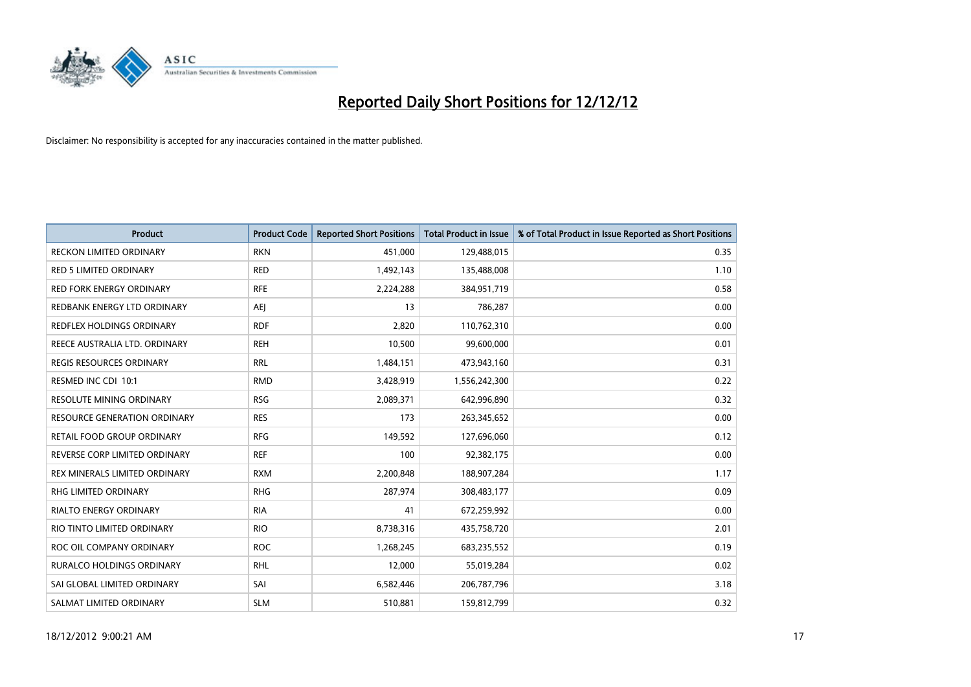

| <b>Product</b>                      | <b>Product Code</b> | <b>Reported Short Positions</b> | <b>Total Product in Issue</b> | % of Total Product in Issue Reported as Short Positions |
|-------------------------------------|---------------------|---------------------------------|-------------------------------|---------------------------------------------------------|
| <b>RECKON LIMITED ORDINARY</b>      | <b>RKN</b>          | 451,000                         | 129,488,015                   | 0.35                                                    |
| <b>RED 5 LIMITED ORDINARY</b>       | <b>RED</b>          | 1,492,143                       | 135,488,008                   | 1.10                                                    |
| <b>RED FORK ENERGY ORDINARY</b>     | <b>RFE</b>          | 2,224,288                       | 384,951,719                   | 0.58                                                    |
| REDBANK ENERGY LTD ORDINARY         | AEJ                 | 13                              | 786,287                       | 0.00                                                    |
| REDFLEX HOLDINGS ORDINARY           | <b>RDF</b>          | 2,820                           | 110,762,310                   | 0.00                                                    |
| REECE AUSTRALIA LTD. ORDINARY       | <b>REH</b>          | 10,500                          | 99,600,000                    | 0.01                                                    |
| <b>REGIS RESOURCES ORDINARY</b>     | <b>RRL</b>          | 1,484,151                       | 473,943,160                   | 0.31                                                    |
| RESMED INC CDI 10:1                 | <b>RMD</b>          | 3,428,919                       | 1,556,242,300                 | 0.22                                                    |
| <b>RESOLUTE MINING ORDINARY</b>     | <b>RSG</b>          | 2,089,371                       | 642,996,890                   | 0.32                                                    |
| <b>RESOURCE GENERATION ORDINARY</b> | <b>RES</b>          | 173                             | 263,345,652                   | 0.00                                                    |
| RETAIL FOOD GROUP ORDINARY          | <b>RFG</b>          | 149,592                         | 127,696,060                   | 0.12                                                    |
| REVERSE CORP LIMITED ORDINARY       | <b>REF</b>          | 100                             | 92,382,175                    | 0.00                                                    |
| REX MINERALS LIMITED ORDINARY       | <b>RXM</b>          | 2,200,848                       | 188,907,284                   | 1.17                                                    |
| <b>RHG LIMITED ORDINARY</b>         | <b>RHG</b>          | 287,974                         | 308,483,177                   | 0.09                                                    |
| <b>RIALTO ENERGY ORDINARY</b>       | <b>RIA</b>          | 41                              | 672,259,992                   | 0.00                                                    |
| RIO TINTO LIMITED ORDINARY          | <b>RIO</b>          | 8,738,316                       | 435,758,720                   | 2.01                                                    |
| ROC OIL COMPANY ORDINARY            | <b>ROC</b>          | 1,268,245                       | 683,235,552                   | 0.19                                                    |
| RURALCO HOLDINGS ORDINARY           | <b>RHL</b>          | 12,000                          | 55,019,284                    | 0.02                                                    |
| SAI GLOBAL LIMITED ORDINARY         | SAI                 | 6,582,446                       | 206,787,796                   | 3.18                                                    |
| SALMAT LIMITED ORDINARY             | <b>SLM</b>          | 510,881                         | 159,812,799                   | 0.32                                                    |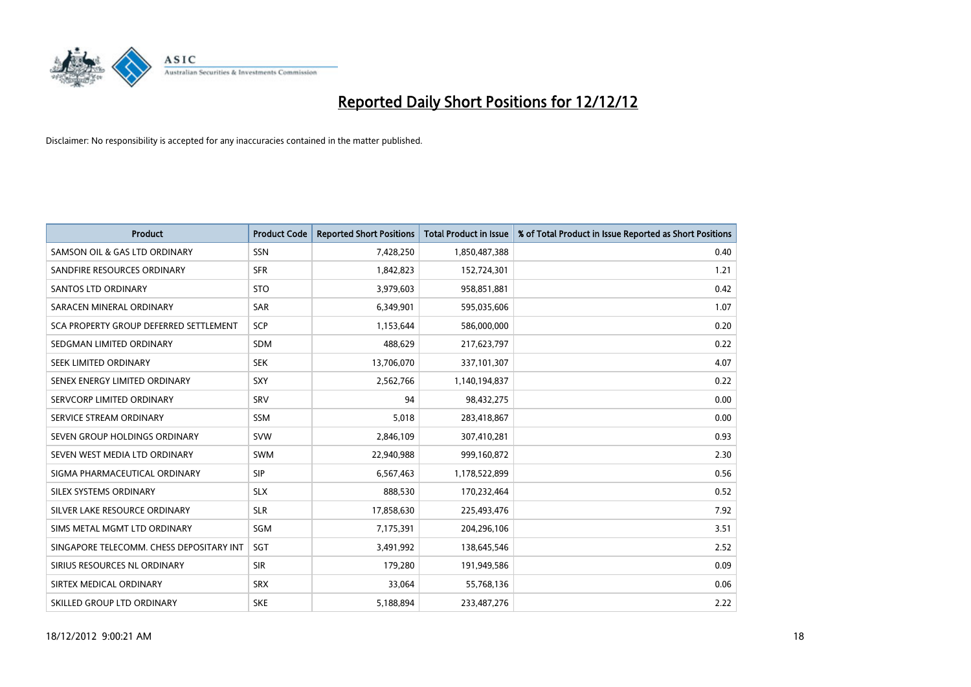

| <b>Product</b>                           | <b>Product Code</b> | <b>Reported Short Positions</b> | <b>Total Product in Issue</b> | % of Total Product in Issue Reported as Short Positions |
|------------------------------------------|---------------------|---------------------------------|-------------------------------|---------------------------------------------------------|
| SAMSON OIL & GAS LTD ORDINARY            | <b>SSN</b>          | 7,428,250                       | 1,850,487,388                 | 0.40                                                    |
| SANDFIRE RESOURCES ORDINARY              | <b>SFR</b>          | 1,842,823                       | 152,724,301                   | 1.21                                                    |
| <b>SANTOS LTD ORDINARY</b>               | <b>STO</b>          | 3,979,603                       | 958,851,881                   | 0.42                                                    |
| SARACEN MINERAL ORDINARY                 | <b>SAR</b>          | 6,349,901                       | 595,035,606                   | 1.07                                                    |
| SCA PROPERTY GROUP DEFERRED SETTLEMENT   | <b>SCP</b>          | 1,153,644                       | 586,000,000                   | 0.20                                                    |
| SEDGMAN LIMITED ORDINARY                 | <b>SDM</b>          | 488,629                         | 217,623,797                   | 0.22                                                    |
| SEEK LIMITED ORDINARY                    | <b>SEK</b>          | 13,706,070                      | 337,101,307                   | 4.07                                                    |
| SENEX ENERGY LIMITED ORDINARY            | <b>SXY</b>          | 2,562,766                       | 1,140,194,837                 | 0.22                                                    |
| SERVCORP LIMITED ORDINARY                | SRV                 | 94                              | 98,432,275                    | 0.00                                                    |
| SERVICE STREAM ORDINARY                  | <b>SSM</b>          | 5,018                           | 283,418,867                   | 0.00                                                    |
| SEVEN GROUP HOLDINGS ORDINARY            | <b>SVW</b>          | 2,846,109                       | 307,410,281                   | 0.93                                                    |
| SEVEN WEST MEDIA LTD ORDINARY            | <b>SWM</b>          | 22,940,988                      | 999,160,872                   | 2.30                                                    |
| SIGMA PHARMACEUTICAL ORDINARY            | <b>SIP</b>          | 6,567,463                       | 1,178,522,899                 | 0.56                                                    |
| SILEX SYSTEMS ORDINARY                   | <b>SLX</b>          | 888,530                         | 170,232,464                   | 0.52                                                    |
| SILVER LAKE RESOURCE ORDINARY            | <b>SLR</b>          | 17,858,630                      | 225,493,476                   | 7.92                                                    |
| SIMS METAL MGMT LTD ORDINARY             | SGM                 | 7,175,391                       | 204,296,106                   | 3.51                                                    |
| SINGAPORE TELECOMM. CHESS DEPOSITARY INT | <b>SGT</b>          | 3,491,992                       | 138,645,546                   | 2.52                                                    |
| SIRIUS RESOURCES NL ORDINARY             | <b>SIR</b>          | 179,280                         | 191,949,586                   | 0.09                                                    |
| SIRTEX MEDICAL ORDINARY                  | <b>SRX</b>          | 33,064                          | 55,768,136                    | 0.06                                                    |
| SKILLED GROUP LTD ORDINARY               | <b>SKE</b>          | 5,188,894                       | 233,487,276                   | 2.22                                                    |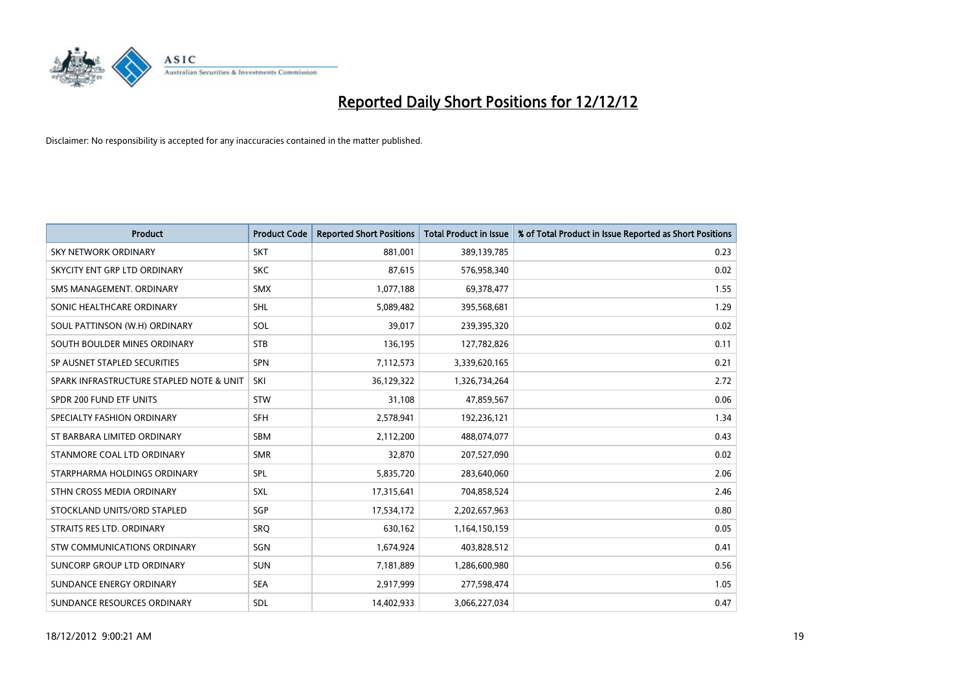

| <b>Product</b>                           | <b>Product Code</b> | <b>Reported Short Positions</b> | <b>Total Product in Issue</b> | % of Total Product in Issue Reported as Short Positions |
|------------------------------------------|---------------------|---------------------------------|-------------------------------|---------------------------------------------------------|
| <b>SKY NETWORK ORDINARY</b>              | <b>SKT</b>          | 881,001                         | 389,139,785                   | 0.23                                                    |
| SKYCITY ENT GRP LTD ORDINARY             | <b>SKC</b>          | 87,615                          | 576,958,340                   | 0.02                                                    |
| SMS MANAGEMENT, ORDINARY                 | <b>SMX</b>          | 1,077,188                       | 69,378,477                    | 1.55                                                    |
| SONIC HEALTHCARE ORDINARY                | <b>SHL</b>          | 5,089,482                       | 395,568,681                   | 1.29                                                    |
| SOUL PATTINSON (W.H) ORDINARY            | SOL                 | 39,017                          | 239,395,320                   | 0.02                                                    |
| SOUTH BOULDER MINES ORDINARY             | <b>STB</b>          | 136,195                         | 127,782,826                   | 0.11                                                    |
| SP AUSNET STAPLED SECURITIES             | <b>SPN</b>          | 7,112,573                       | 3,339,620,165                 | 0.21                                                    |
| SPARK INFRASTRUCTURE STAPLED NOTE & UNIT | SKI                 | 36,129,322                      | 1,326,734,264                 | 2.72                                                    |
| SPDR 200 FUND ETF UNITS                  | <b>STW</b>          | 31,108                          | 47,859,567                    | 0.06                                                    |
| SPECIALTY FASHION ORDINARY               | <b>SFH</b>          | 2,578,941                       | 192,236,121                   | 1.34                                                    |
| ST BARBARA LIMITED ORDINARY              | <b>SBM</b>          | 2,112,200                       | 488,074,077                   | 0.43                                                    |
| STANMORE COAL LTD ORDINARY               | <b>SMR</b>          | 32,870                          | 207,527,090                   | 0.02                                                    |
| STARPHARMA HOLDINGS ORDINARY             | SPL                 | 5,835,720                       | 283,640,060                   | 2.06                                                    |
| STHN CROSS MEDIA ORDINARY                | <b>SXL</b>          | 17,315,641                      | 704,858,524                   | 2.46                                                    |
| STOCKLAND UNITS/ORD STAPLED              | SGP                 | 17,534,172                      | 2,202,657,963                 | 0.80                                                    |
| STRAITS RES LTD. ORDINARY                | SRO                 | 630,162                         | 1,164,150,159                 | 0.05                                                    |
| STW COMMUNICATIONS ORDINARY              | SGN                 | 1,674,924                       | 403,828,512                   | 0.41                                                    |
| SUNCORP GROUP LTD ORDINARY               | <b>SUN</b>          | 7,181,889                       | 1,286,600,980                 | 0.56                                                    |
| SUNDANCE ENERGY ORDINARY                 | <b>SEA</b>          | 2,917,999                       | 277,598,474                   | 1.05                                                    |
| SUNDANCE RESOURCES ORDINARY              | <b>SDL</b>          | 14,402,933                      | 3,066,227,034                 | 0.47                                                    |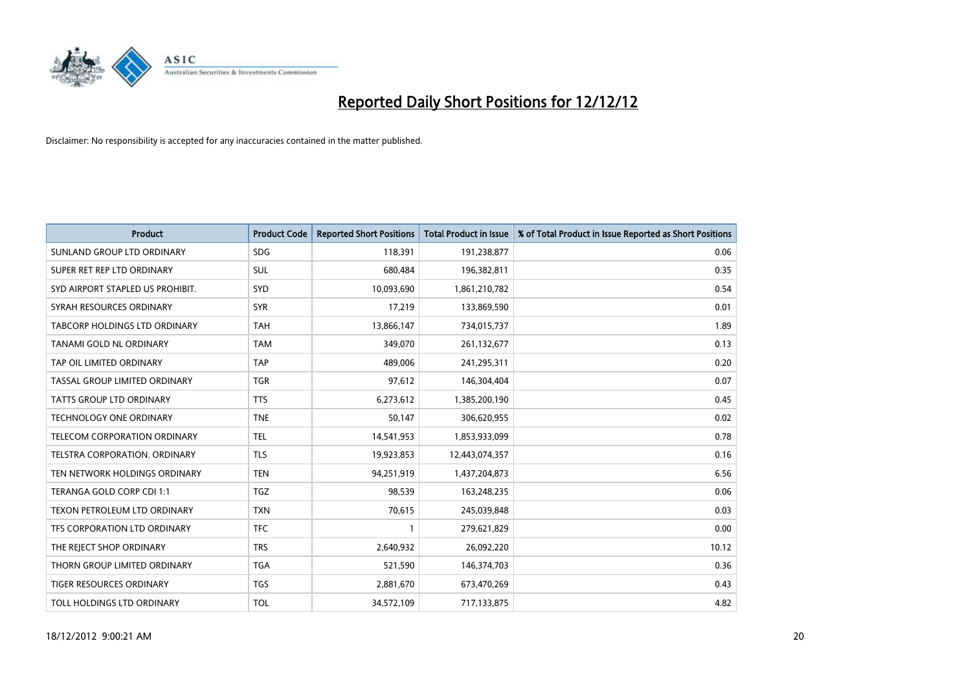

| <b>Product</b>                       | <b>Product Code</b> | <b>Reported Short Positions</b> | <b>Total Product in Issue</b> | % of Total Product in Issue Reported as Short Positions |
|--------------------------------------|---------------------|---------------------------------|-------------------------------|---------------------------------------------------------|
| SUNLAND GROUP LTD ORDINARY           | <b>SDG</b>          | 118,391                         | 191,238,877                   | 0.06                                                    |
| SUPER RET REP LTD ORDINARY           | <b>SUL</b>          | 680,484                         | 196,382,811                   | 0.35                                                    |
| SYD AIRPORT STAPLED US PROHIBIT.     | <b>SYD</b>          | 10,093,690                      | 1,861,210,782                 | 0.54                                                    |
| SYRAH RESOURCES ORDINARY             | <b>SYR</b>          | 17,219                          | 133,869,590                   | 0.01                                                    |
| <b>TABCORP HOLDINGS LTD ORDINARY</b> | <b>TAH</b>          | 13,866,147                      | 734,015,737                   | 1.89                                                    |
| <b>TANAMI GOLD NL ORDINARY</b>       | <b>TAM</b>          | 349,070                         | 261,132,677                   | 0.13                                                    |
| TAP OIL LIMITED ORDINARY             | <b>TAP</b>          | 489.006                         | 241,295,311                   | 0.20                                                    |
| TASSAL GROUP LIMITED ORDINARY        | <b>TGR</b>          | 97,612                          | 146,304,404                   | 0.07                                                    |
| <b>TATTS GROUP LTD ORDINARY</b>      | <b>TTS</b>          | 6,273,612                       | 1,385,200,190                 | 0.45                                                    |
| <b>TECHNOLOGY ONE ORDINARY</b>       | <b>TNE</b>          | 50,147                          | 306,620,955                   | 0.02                                                    |
| TELECOM CORPORATION ORDINARY         | <b>TEL</b>          | 14,541,953                      | 1,853,933,099                 | 0.78                                                    |
| <b>TELSTRA CORPORATION, ORDINARY</b> | <b>TLS</b>          | 19,923,853                      | 12,443,074,357                | 0.16                                                    |
| TEN NETWORK HOLDINGS ORDINARY        | <b>TEN</b>          | 94,251,919                      | 1,437,204,873                 | 6.56                                                    |
| TERANGA GOLD CORP CDI 1:1            | <b>TGZ</b>          | 98,539                          | 163,248,235                   | 0.06                                                    |
| TEXON PETROLEUM LTD ORDINARY         | <b>TXN</b>          | 70,615                          | 245,039,848                   | 0.03                                                    |
| TFS CORPORATION LTD ORDINARY         | <b>TFC</b>          |                                 | 279,621,829                   | 0.00                                                    |
| THE REJECT SHOP ORDINARY             | <b>TRS</b>          | 2,640,932                       | 26,092,220                    | 10.12                                                   |
| THORN GROUP LIMITED ORDINARY         | <b>TGA</b>          | 521,590                         | 146,374,703                   | 0.36                                                    |
| TIGER RESOURCES ORDINARY             | <b>TGS</b>          | 2,881,670                       | 673,470,269                   | 0.43                                                    |
| TOLL HOLDINGS LTD ORDINARY           | <b>TOL</b>          | 34,572,109                      | 717,133,875                   | 4.82                                                    |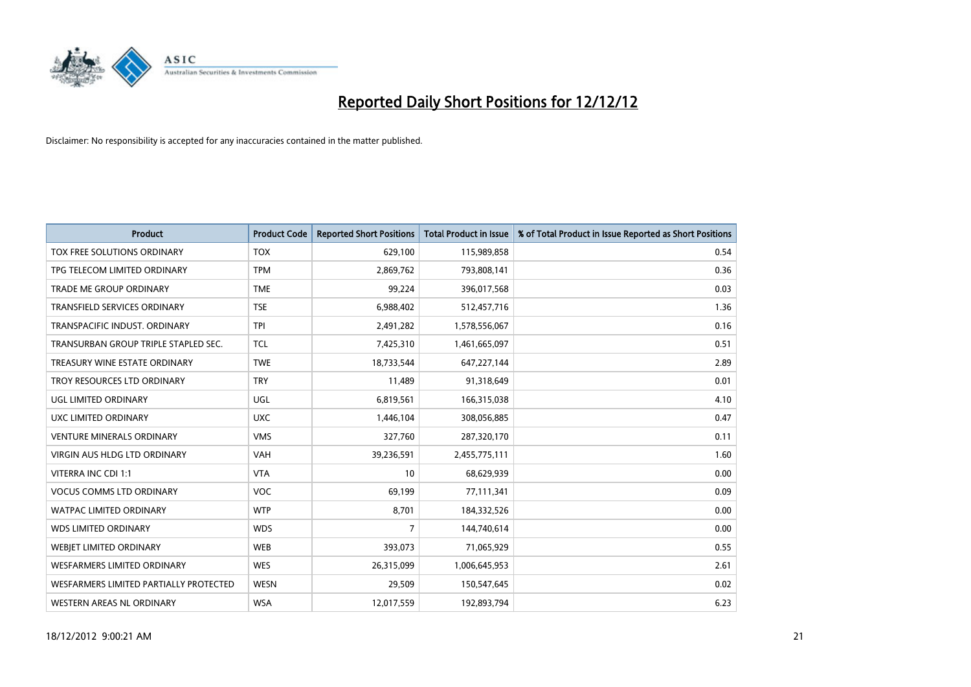

| <b>Product</b>                         | <b>Product Code</b> | <b>Reported Short Positions</b> | <b>Total Product in Issue</b> | % of Total Product in Issue Reported as Short Positions |
|----------------------------------------|---------------------|---------------------------------|-------------------------------|---------------------------------------------------------|
| TOX FREE SOLUTIONS ORDINARY            | <b>TOX</b>          | 629,100                         | 115,989,858                   | 0.54                                                    |
| TPG TELECOM LIMITED ORDINARY           | <b>TPM</b>          | 2,869,762                       | 793,808,141                   | 0.36                                                    |
| <b>TRADE ME GROUP ORDINARY</b>         | <b>TME</b>          | 99,224                          | 396,017,568                   | 0.03                                                    |
| TRANSFIELD SERVICES ORDINARY           | <b>TSE</b>          | 6,988,402                       | 512,457,716                   | 1.36                                                    |
| <b>TRANSPACIFIC INDUST, ORDINARY</b>   | <b>TPI</b>          | 2,491,282                       | 1,578,556,067                 | 0.16                                                    |
| TRANSURBAN GROUP TRIPLE STAPLED SEC.   | <b>TCL</b>          | 7,425,310                       | 1,461,665,097                 | 0.51                                                    |
| TREASURY WINE ESTATE ORDINARY          | <b>TWE</b>          | 18,733,544                      | 647,227,144                   | 2.89                                                    |
| TROY RESOURCES LTD ORDINARY            | <b>TRY</b>          | 11,489                          | 91,318,649                    | 0.01                                                    |
| UGL LIMITED ORDINARY                   | UGL                 | 6,819,561                       | 166,315,038                   | 4.10                                                    |
| <b>UXC LIMITED ORDINARY</b>            | <b>UXC</b>          | 1,446,104                       | 308,056,885                   | 0.47                                                    |
| <b>VENTURE MINERALS ORDINARY</b>       | <b>VMS</b>          | 327,760                         | 287,320,170                   | 0.11                                                    |
| <b>VIRGIN AUS HLDG LTD ORDINARY</b>    | <b>VAH</b>          | 39,236,591                      | 2,455,775,111                 | 1.60                                                    |
| VITERRA INC CDI 1:1                    | <b>VTA</b>          | 10                              | 68,629,939                    | 0.00                                                    |
| <b>VOCUS COMMS LTD ORDINARY</b>        | <b>VOC</b>          | 69,199                          | 77,111,341                    | 0.09                                                    |
| <b>WATPAC LIMITED ORDINARY</b>         | <b>WTP</b>          | 8,701                           | 184,332,526                   | 0.00                                                    |
| <b>WDS LIMITED ORDINARY</b>            | <b>WDS</b>          | 7                               | 144,740,614                   | 0.00                                                    |
| WEBIET LIMITED ORDINARY                | <b>WEB</b>          | 393,073                         | 71,065,929                    | 0.55                                                    |
| <b>WESFARMERS LIMITED ORDINARY</b>     | <b>WES</b>          | 26,315,099                      | 1,006,645,953                 | 2.61                                                    |
| WESFARMERS LIMITED PARTIALLY PROTECTED | <b>WESN</b>         | 29,509                          | 150,547,645                   | 0.02                                                    |
| WESTERN AREAS NL ORDINARY              | <b>WSA</b>          | 12,017,559                      | 192,893,794                   | 6.23                                                    |